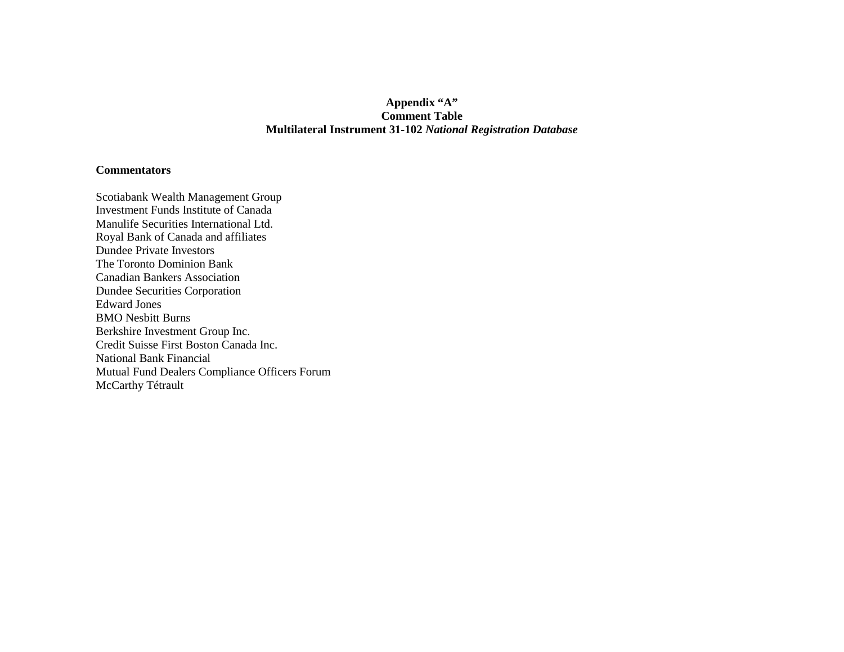## **Appendix "A" Comment Table Multilateral Instrument 31-102** *National Registration Database*

## **Commentators**

Scotiabank Wealth Management Group Investment Funds Institute of Canada Manulife Securities International Ltd. Royal Bank of Canada and affiliates Dundee Private Investors The Toronto Dominion Bank Canadian Bankers Association Dundee Securities Corporation Edward Jones BMO Nesbitt Burns Berkshire Investment Group Inc. Credit Suisse First Boston Canada Inc. National Bank Financial Mutual Fund Dealers Compliance Officers Forum McCarthy Tétrault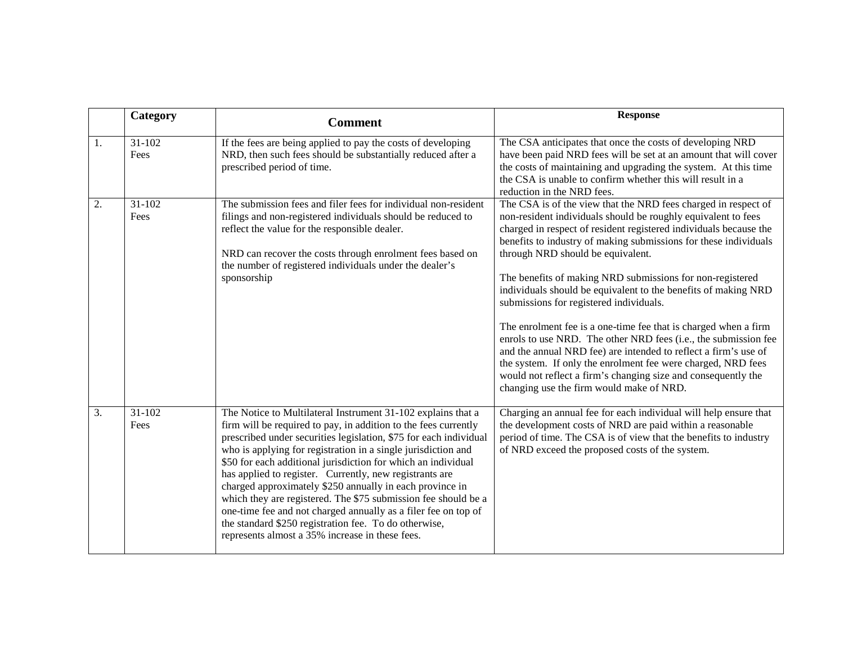|    | Category           | <b>Comment</b>                                                                                                                                                                                                                                                                                                                                                                                                                                                                                                                                                                                                                                                                                                | <b>Response</b>                                                                                                                                                                                                                                                                                                                                                                                                                                                                                                                                                                                                                                                                                                                                                                                                                                                               |
|----|--------------------|---------------------------------------------------------------------------------------------------------------------------------------------------------------------------------------------------------------------------------------------------------------------------------------------------------------------------------------------------------------------------------------------------------------------------------------------------------------------------------------------------------------------------------------------------------------------------------------------------------------------------------------------------------------------------------------------------------------|-------------------------------------------------------------------------------------------------------------------------------------------------------------------------------------------------------------------------------------------------------------------------------------------------------------------------------------------------------------------------------------------------------------------------------------------------------------------------------------------------------------------------------------------------------------------------------------------------------------------------------------------------------------------------------------------------------------------------------------------------------------------------------------------------------------------------------------------------------------------------------|
| 1. | $31-102$<br>Fees   | If the fees are being applied to pay the costs of developing<br>NRD, then such fees should be substantially reduced after a<br>prescribed period of time.                                                                                                                                                                                                                                                                                                                                                                                                                                                                                                                                                     | The CSA anticipates that once the costs of developing NRD<br>have been paid NRD fees will be set at an amount that will cover<br>the costs of maintaining and upgrading the system. At this time<br>the CSA is unable to confirm whether this will result in a<br>reduction in the NRD fees.                                                                                                                                                                                                                                                                                                                                                                                                                                                                                                                                                                                  |
| 2. | 31-102<br>Fees     | The submission fees and filer fees for individual non-resident<br>filings and non-registered individuals should be reduced to<br>reflect the value for the responsible dealer.<br>NRD can recover the costs through enrolment fees based on<br>the number of registered individuals under the dealer's<br>sponsorship                                                                                                                                                                                                                                                                                                                                                                                         | The CSA is of the view that the NRD fees charged in respect of<br>non-resident individuals should be roughly equivalent to fees<br>charged in respect of resident registered individuals because the<br>benefits to industry of making submissions for these individuals<br>through NRD should be equivalent.<br>The benefits of making NRD submissions for non-registered<br>individuals should be equivalent to the benefits of making NRD<br>submissions for registered individuals.<br>The enrolment fee is a one-time fee that is charged when a firm<br>enrols to use NRD. The other NRD fees (i.e., the submission fee<br>and the annual NRD fee) are intended to reflect a firm's use of<br>the system. If only the enrolment fee were charged, NRD fees<br>would not reflect a firm's changing size and consequently the<br>changing use the firm would make of NRD. |
| 3. | $31 - 102$<br>Fees | The Notice to Multilateral Instrument 31-102 explains that a<br>firm will be required to pay, in addition to the fees currently<br>prescribed under securities legislation, \$75 for each individual<br>who is applying for registration in a single jurisdiction and<br>\$50 for each additional jurisdiction for which an individual<br>has applied to register. Currently, new registrants are<br>charged approximately \$250 annually in each province in<br>which they are registered. The \$75 submission fee should be a<br>one-time fee and not charged annually as a filer fee on top of<br>the standard \$250 registration fee. To do otherwise,<br>represents almost a 35% increase in these fees. | Charging an annual fee for each individual will help ensure that<br>the development costs of NRD are paid within a reasonable<br>period of time. The CSA is of view that the benefits to industry<br>of NRD exceed the proposed costs of the system.                                                                                                                                                                                                                                                                                                                                                                                                                                                                                                                                                                                                                          |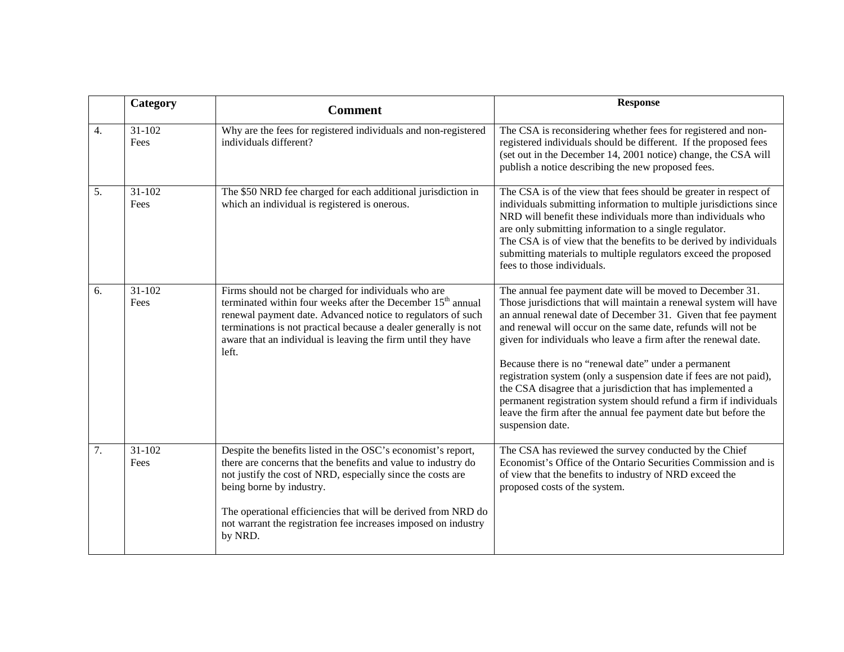|                  | Category       | <b>Comment</b>                                                                                                                                                                                                                                                                                                                                                         | <b>Response</b>                                                                                                                                                                                                                                                                                                                                                                                                                                                                                                                                                                                                                                                                            |
|------------------|----------------|------------------------------------------------------------------------------------------------------------------------------------------------------------------------------------------------------------------------------------------------------------------------------------------------------------------------------------------------------------------------|--------------------------------------------------------------------------------------------------------------------------------------------------------------------------------------------------------------------------------------------------------------------------------------------------------------------------------------------------------------------------------------------------------------------------------------------------------------------------------------------------------------------------------------------------------------------------------------------------------------------------------------------------------------------------------------------|
| $\overline{4}$ . | 31-102<br>Fees | Why are the fees for registered individuals and non-registered<br>individuals different?                                                                                                                                                                                                                                                                               | The CSA is reconsidering whether fees for registered and non-<br>registered individuals should be different. If the proposed fees<br>(set out in the December 14, 2001 notice) change, the CSA will<br>publish a notice describing the new proposed fees.                                                                                                                                                                                                                                                                                                                                                                                                                                  |
| 5.               | 31-102<br>Fees | The \$50 NRD fee charged for each additional jurisdiction in<br>which an individual is registered is onerous.                                                                                                                                                                                                                                                          | The CSA is of the view that fees should be greater in respect of<br>individuals submitting information to multiple jurisdictions since<br>NRD will benefit these individuals more than individuals who<br>are only submitting information to a single regulator.<br>The CSA is of view that the benefits to be derived by individuals<br>submitting materials to multiple regulators exceed the proposed<br>fees to those individuals.                                                                                                                                                                                                                                                     |
| 6.               | 31-102<br>Fees | Firms should not be charged for individuals who are<br>terminated within four weeks after the December 15 <sup>th</sup> annual<br>renewal payment date. Advanced notice to regulators of such<br>terminations is not practical because a dealer generally is not<br>aware that an individual is leaving the firm until they have<br>left.                              | The annual fee payment date will be moved to December 31.<br>Those jurisdictions that will maintain a renewal system will have<br>an annual renewal date of December 31. Given that fee payment<br>and renewal will occur on the same date, refunds will not be<br>given for individuals who leave a firm after the renewal date.<br>Because there is no "renewal date" under a permanent<br>registration system (only a suspension date if fees are not paid),<br>the CSA disagree that a jurisdiction that has implemented a<br>permanent registration system should refund a firm if individuals<br>leave the firm after the annual fee payment date but before the<br>suspension date. |
| 7.               | 31-102<br>Fees | Despite the benefits listed in the OSC's economist's report,<br>there are concerns that the benefits and value to industry do<br>not justify the cost of NRD, especially since the costs are<br>being borne by industry.<br>The operational efficiencies that will be derived from NRD do<br>not warrant the registration fee increases imposed on industry<br>by NRD. | The CSA has reviewed the survey conducted by the Chief<br>Economist's Office of the Ontario Securities Commission and is<br>of view that the benefits to industry of NRD exceed the<br>proposed costs of the system.                                                                                                                                                                                                                                                                                                                                                                                                                                                                       |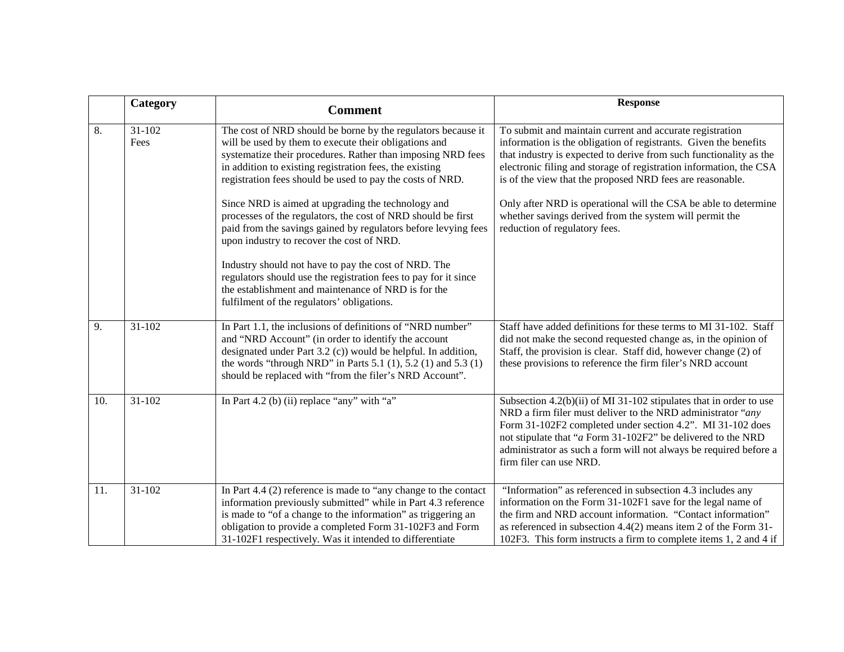|     | Category           | <b>Comment</b>                                                                                                                                                                                                                                                                                                                                                                                                                                                                                                                                                                                                                                                                                                                                                                    | <b>Response</b>                                                                                                                                                                                                                                                                                                                                                                                                                                                                                      |
|-----|--------------------|-----------------------------------------------------------------------------------------------------------------------------------------------------------------------------------------------------------------------------------------------------------------------------------------------------------------------------------------------------------------------------------------------------------------------------------------------------------------------------------------------------------------------------------------------------------------------------------------------------------------------------------------------------------------------------------------------------------------------------------------------------------------------------------|------------------------------------------------------------------------------------------------------------------------------------------------------------------------------------------------------------------------------------------------------------------------------------------------------------------------------------------------------------------------------------------------------------------------------------------------------------------------------------------------------|
| 8.  | $31 - 102$<br>Fees | The cost of NRD should be borne by the regulators because it<br>will be used by them to execute their obligations and<br>systematize their procedures. Rather than imposing NRD fees<br>in addition to existing registration fees, the existing<br>registration fees should be used to pay the costs of NRD.<br>Since NRD is aimed at upgrading the technology and<br>processes of the regulators, the cost of NRD should be first<br>paid from the savings gained by regulators before levying fees<br>upon industry to recover the cost of NRD.<br>Industry should not have to pay the cost of NRD. The<br>regulators should use the registration fees to pay for it since<br>the establishment and maintenance of NRD is for the<br>fulfilment of the regulators' obligations. | To submit and maintain current and accurate registration<br>information is the obligation of registrants. Given the benefits<br>that industry is expected to derive from such functionality as the<br>electronic filing and storage of registration information, the CSA<br>is of the view that the proposed NRD fees are reasonable.<br>Only after NRD is operational will the CSA be able to determine<br>whether savings derived from the system will permit the<br>reduction of regulatory fees. |
| 9.  | 31-102             | In Part 1.1, the inclusions of definitions of "NRD number"<br>and "NRD Account" (in order to identify the account<br>designated under Part 3.2 (c)) would be helpful. In addition,<br>the words "through NRD" in Parts $5.1$ (1), $5.2$ (1) and $5.3$ (1)<br>should be replaced with "from the filer's NRD Account".                                                                                                                                                                                                                                                                                                                                                                                                                                                              | Staff have added definitions for these terms to MI 31-102. Staff<br>did not make the second requested change as, in the opinion of<br>Staff, the provision is clear. Staff did, however change (2) of<br>these provisions to reference the firm filer's NRD account                                                                                                                                                                                                                                  |
| 10. | 31-102             | In Part 4.2 (b) (ii) replace "any" with "a"                                                                                                                                                                                                                                                                                                                                                                                                                                                                                                                                                                                                                                                                                                                                       | Subsection 4.2(b)(ii) of MI 31-102 stipulates that in order to use<br>NRD a firm filer must deliver to the NRD administrator "any<br>Form 31-102F2 completed under section 4.2". MI 31-102 does<br>not stipulate that "a Form 31-102F2" be delivered to the NRD<br>administrator as such a form will not always be required before a<br>firm filer can use NRD.                                                                                                                                      |
| 11. | 31-102             | In Part $4.4$ (2) reference is made to "any change to the contact<br>information previously submitted" while in Part 4.3 reference<br>is made to "of a change to the information" as triggering an<br>obligation to provide a completed Form 31-102F3 and Form<br>31-102F1 respectively. Was it intended to differentiate                                                                                                                                                                                                                                                                                                                                                                                                                                                         | "Information" as referenced in subsection 4.3 includes any<br>information on the Form 31-102F1 save for the legal name of<br>the firm and NRD account information. "Contact information"<br>as referenced in subsection 4.4(2) means item 2 of the Form 31-<br>102F3. This form instructs a firm to complete items 1, 2 and 4 if                                                                                                                                                                     |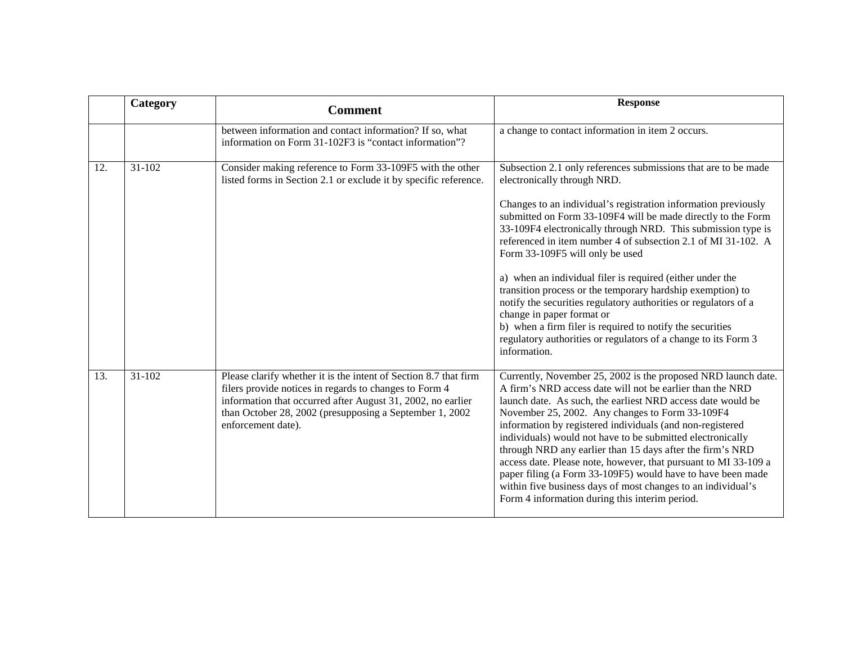|     | Category   | <b>Comment</b>                                                                                                                                                                                                                                                              | <b>Response</b>                                                                                                                                                                                                                                                                                                                                                                                                                                                                                                                                                                                                                                                                                                                                                               |
|-----|------------|-----------------------------------------------------------------------------------------------------------------------------------------------------------------------------------------------------------------------------------------------------------------------------|-------------------------------------------------------------------------------------------------------------------------------------------------------------------------------------------------------------------------------------------------------------------------------------------------------------------------------------------------------------------------------------------------------------------------------------------------------------------------------------------------------------------------------------------------------------------------------------------------------------------------------------------------------------------------------------------------------------------------------------------------------------------------------|
|     |            | between information and contact information? If so, what<br>information on Form 31-102F3 is "contact information"?                                                                                                                                                          | a change to contact information in item 2 occurs.                                                                                                                                                                                                                                                                                                                                                                                                                                                                                                                                                                                                                                                                                                                             |
| 12. | 31-102     | Consider making reference to Form 33-109F5 with the other<br>listed forms in Section 2.1 or exclude it by specific reference.                                                                                                                                               | Subsection 2.1 only references submissions that are to be made<br>electronically through NRD.<br>Changes to an individual's registration information previously<br>submitted on Form 33-109F4 will be made directly to the Form<br>33-109F4 electronically through NRD. This submission type is<br>referenced in item number 4 of subsection 2.1 of MI 31-102. A<br>Form 33-109F5 will only be used<br>a) when an individual filer is required (either under the<br>transition process or the temporary hardship exemption) to<br>notify the securities regulatory authorities or regulators of a<br>change in paper format or<br>b) when a firm filer is required to notify the securities<br>regulatory authorities or regulators of a change to its Form 3<br>information. |
| 13. | $31 - 102$ | Please clarify whether it is the intent of Section 8.7 that firm<br>filers provide notices in regards to changes to Form 4<br>information that occurred after August 31, 2002, no earlier<br>than October 28, 2002 (presupposing a September 1, 2002)<br>enforcement date). | Currently, November 25, 2002 is the proposed NRD launch date.<br>A firm's NRD access date will not be earlier than the NRD<br>launch date. As such, the earliest NRD access date would be<br>November 25, 2002. Any changes to Form 33-109F4<br>information by registered individuals (and non-registered<br>individuals) would not have to be submitted electronically<br>through NRD any earlier than 15 days after the firm's NRD<br>access date. Please note, however, that pursuant to MI 33-109 a<br>paper filing (a Form 33-109F5) would have to have been made<br>within five business days of most changes to an individual's<br>Form 4 information during this interim period.                                                                                      |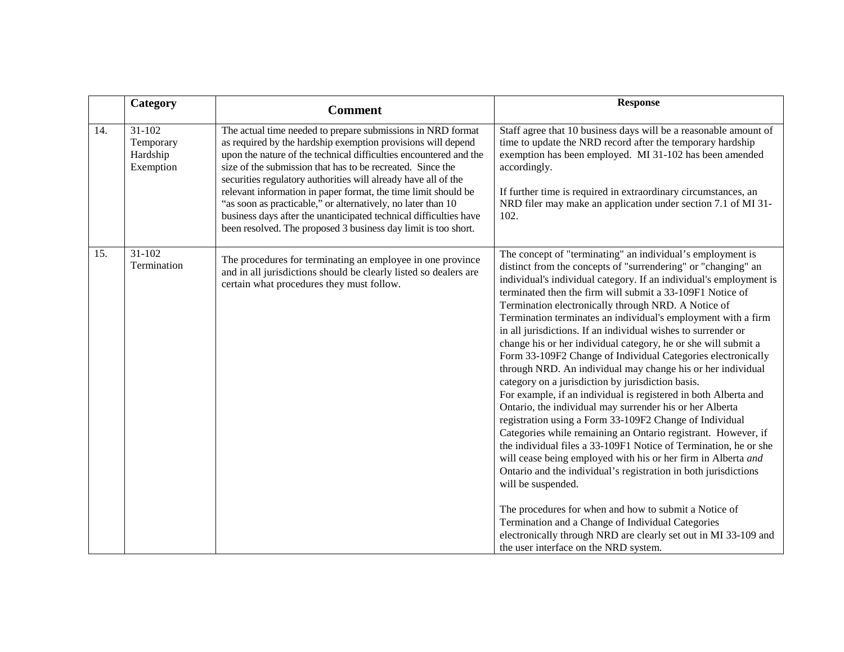|     | Category                                     | <b>Comment</b>                                                                                                                                                                                                                                                                                                                                                                                                                                                                                                                                                                                            | <b>Response</b>                                                                                                                                                                                                                                                                                                                                                                                                                                                                                                                                                                                                                                                                                                                                                                                                                                                                                                                                                                                                                                                                                                                                                                                                                                                                                                                                                                                                                  |
|-----|----------------------------------------------|-----------------------------------------------------------------------------------------------------------------------------------------------------------------------------------------------------------------------------------------------------------------------------------------------------------------------------------------------------------------------------------------------------------------------------------------------------------------------------------------------------------------------------------------------------------------------------------------------------------|----------------------------------------------------------------------------------------------------------------------------------------------------------------------------------------------------------------------------------------------------------------------------------------------------------------------------------------------------------------------------------------------------------------------------------------------------------------------------------------------------------------------------------------------------------------------------------------------------------------------------------------------------------------------------------------------------------------------------------------------------------------------------------------------------------------------------------------------------------------------------------------------------------------------------------------------------------------------------------------------------------------------------------------------------------------------------------------------------------------------------------------------------------------------------------------------------------------------------------------------------------------------------------------------------------------------------------------------------------------------------------------------------------------------------------|
| 14. | 31-102<br>Temporary<br>Hardship<br>Exemption | The actual time needed to prepare submissions in NRD format<br>as required by the hardship exemption provisions will depend<br>upon the nature of the technical difficulties encountered and the<br>size of the submission that has to be recreated. Since the<br>securities regulatory authorities will already have all of the<br>relevant information in paper format, the time limit should be<br>"as soon as practicable," or alternatively, no later than 10<br>business days after the unanticipated technical difficulties have<br>been resolved. The proposed 3 business day limit is too short. | Staff agree that 10 business days will be a reasonable amount of<br>time to update the NRD record after the temporary hardship<br>exemption has been employed. MI 31-102 has been amended<br>accordingly.<br>If further time is required in extraordinary circumstances, an<br>NRD filer may make an application under section 7.1 of MI 31-<br>102.                                                                                                                                                                                                                                                                                                                                                                                                                                                                                                                                                                                                                                                                                                                                                                                                                                                                                                                                                                                                                                                                             |
| 15. | 31-102<br>Termination                        | The procedures for terminating an employee in one province<br>and in all jurisdictions should be clearly listed so dealers are<br>certain what procedures they must follow.                                                                                                                                                                                                                                                                                                                                                                                                                               | The concept of "terminating" an individual's employment is<br>distinct from the concepts of "surrendering" or "changing" an<br>individual's individual category. If an individual's employment is<br>terminated then the firm will submit a 33-109F1 Notice of<br>Termination electronically through NRD. A Notice of<br>Termination terminates an individual's employment with a firm<br>in all jurisdictions. If an individual wishes to surrender or<br>change his or her individual category, he or she will submit a<br>Form 33-109F2 Change of Individual Categories electronically<br>through NRD. An individual may change his or her individual<br>category on a jurisdiction by jurisdiction basis.<br>For example, if an individual is registered in both Alberta and<br>Ontario, the individual may surrender his or her Alberta<br>registration using a Form 33-109F2 Change of Individual<br>Categories while remaining an Ontario registrant. However, if<br>the individual files a 33-109F1 Notice of Termination, he or she<br>will cease being employed with his or her firm in Alberta and<br>Ontario and the individual's registration in both jurisdictions<br>will be suspended.<br>The procedures for when and how to submit a Notice of<br>Termination and a Change of Individual Categories<br>electronically through NRD are clearly set out in MI 33-109 and<br>the user interface on the NRD system. |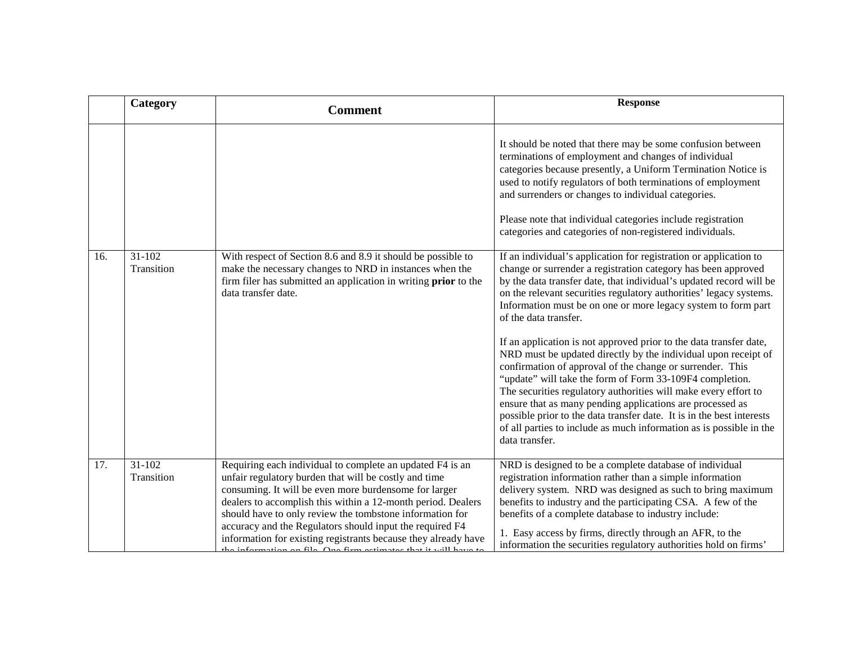|     | Category                 | <b>Comment</b>                                                                                                                                                                                                                                                                                                                                                                                                                                                                                        | <b>Response</b>                                                                                                                                                                                                                                                                                                                                                                                                                                                                                                                                                                                                                                                                                                                                                                                                                                                                                                                              |
|-----|--------------------------|-------------------------------------------------------------------------------------------------------------------------------------------------------------------------------------------------------------------------------------------------------------------------------------------------------------------------------------------------------------------------------------------------------------------------------------------------------------------------------------------------------|----------------------------------------------------------------------------------------------------------------------------------------------------------------------------------------------------------------------------------------------------------------------------------------------------------------------------------------------------------------------------------------------------------------------------------------------------------------------------------------------------------------------------------------------------------------------------------------------------------------------------------------------------------------------------------------------------------------------------------------------------------------------------------------------------------------------------------------------------------------------------------------------------------------------------------------------|
|     |                          |                                                                                                                                                                                                                                                                                                                                                                                                                                                                                                       | It should be noted that there may be some confusion between<br>terminations of employment and changes of individual<br>categories because presently, a Uniform Termination Notice is<br>used to notify regulators of both terminations of employment<br>and surrenders or changes to individual categories.<br>Please note that individual categories include registration<br>categories and categories of non-registered individuals.                                                                                                                                                                                                                                                                                                                                                                                                                                                                                                       |
| 16. | $31 - 102$<br>Transition | With respect of Section 8.6 and 8.9 it should be possible to<br>make the necessary changes to NRD in instances when the<br>firm filer has submitted an application in writing <b>prior</b> to the<br>data transfer date.                                                                                                                                                                                                                                                                              | If an individual's application for registration or application to<br>change or surrender a registration category has been approved<br>by the data transfer date, that individual's updated record will be<br>on the relevant securities regulatory authorities' legacy systems.<br>Information must be on one or more legacy system to form part<br>of the data transfer.<br>If an application is not approved prior to the data transfer date,<br>NRD must be updated directly by the individual upon receipt of<br>confirmation of approval of the change or surrender. This<br>"update" will take the form of Form 33-109F4 completion.<br>The securities regulatory authorities will make every effort to<br>ensure that as many pending applications are processed as<br>possible prior to the data transfer date. It is in the best interests<br>of all parties to include as much information as is possible in the<br>data transfer. |
| 17. | $31 - 102$<br>Transition | Requiring each individual to complete an updated F4 is an<br>unfair regulatory burden that will be costly and time<br>consuming. It will be even more burdensome for larger<br>dealers to accomplish this within a 12-month period. Dealers<br>should have to only review the tombstone information for<br>accuracy and the Regulators should input the required F4<br>information for existing registrants because they already have<br>information on file. One firm estimates that it will have to | NRD is designed to be a complete database of individual<br>registration information rather than a simple information<br>delivery system. NRD was designed as such to bring maximum<br>benefits to industry and the participating CSA. A few of the<br>benefits of a complete database to industry include:<br>1. Easy access by firms, directly through an AFR, to the<br>information the securities regulatory authorities hold on firms'                                                                                                                                                                                                                                                                                                                                                                                                                                                                                                   |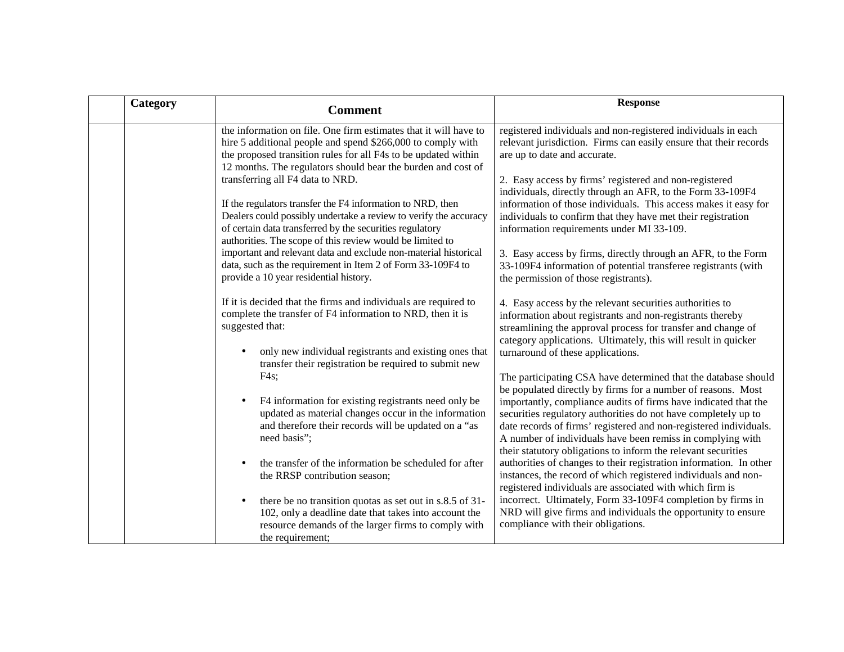| Category | <b>Comment</b>                                                                                                                                                                                                                                          | <b>Response</b>                                                                                                                                                                                                                                                                                                                                                                                       |
|----------|---------------------------------------------------------------------------------------------------------------------------------------------------------------------------------------------------------------------------------------------------------|-------------------------------------------------------------------------------------------------------------------------------------------------------------------------------------------------------------------------------------------------------------------------------------------------------------------------------------------------------------------------------------------------------|
|          | the information on file. One firm estimates that it will have to<br>hire 5 additional people and spend \$266,000 to comply with<br>the proposed transition rules for all F4s to be updated within                                                       | registered individuals and non-registered individuals in each<br>relevant jurisdiction. Firms can easily ensure that their records<br>are up to date and accurate.                                                                                                                                                                                                                                    |
|          | 12 months. The regulators should bear the burden and cost of<br>transferring all F4 data to NRD.                                                                                                                                                        | 2. Easy access by firms' registered and non-registered<br>individuals, directly through an AFR, to the Form 33-109F4                                                                                                                                                                                                                                                                                  |
|          | If the regulators transfer the F4 information to NRD, then<br>Dealers could possibly undertake a review to verify the accuracy<br>of certain data transferred by the securities regulatory<br>authorities. The scope of this review would be limited to | information of those individuals. This access makes it easy for<br>individuals to confirm that they have met their registration<br>information requirements under MI 33-109.                                                                                                                                                                                                                          |
|          | important and relevant data and exclude non-material historical<br>data, such as the requirement in Item 2 of Form 33-109F4 to<br>provide a 10 year residential history.                                                                                | 3. Easy access by firms, directly through an AFR, to the Form<br>33-109F4 information of potential transferee registrants (with<br>the permission of those registrants).                                                                                                                                                                                                                              |
|          | If it is decided that the firms and individuals are required to<br>complete the transfer of F4 information to NRD, then it is<br>suggested that:                                                                                                        | 4. Easy access by the relevant securities authorities to<br>information about registrants and non-registrants thereby<br>streamlining the approval process for transfer and change of<br>category applications. Ultimately, this will result in quicker                                                                                                                                               |
|          | only new individual registrants and existing ones that<br>transfer their registration be required to submit new<br>$F4s$ ;                                                                                                                              | turnaround of these applications.<br>The participating CSA have determined that the database should                                                                                                                                                                                                                                                                                                   |
|          | F4 information for existing registrants need only be<br>$\bullet$<br>updated as material changes occur in the information<br>and therefore their records will be updated on a "as<br>need basis";                                                       | be populated directly by firms for a number of reasons. Most<br>importantly, compliance audits of firms have indicated that the<br>securities regulatory authorities do not have completely up to<br>date records of firms' registered and non-registered individuals.<br>A number of individuals have been remiss in complying with<br>their statutory obligations to inform the relevant securities |
|          | the transfer of the information be scheduled for after<br>the RRSP contribution season;                                                                                                                                                                 | authorities of changes to their registration information. In other<br>instances, the record of which registered individuals and non-<br>registered individuals are associated with which firm is                                                                                                                                                                                                      |
|          | there be no transition quotas as set out in s.8.5 of 31-<br>$\bullet$<br>102, only a deadline date that takes into account the<br>resource demands of the larger firms to comply with<br>the requirement;                                               | incorrect. Ultimately, Form 33-109F4 completion by firms in<br>NRD will give firms and individuals the opportunity to ensure<br>compliance with their obligations.                                                                                                                                                                                                                                    |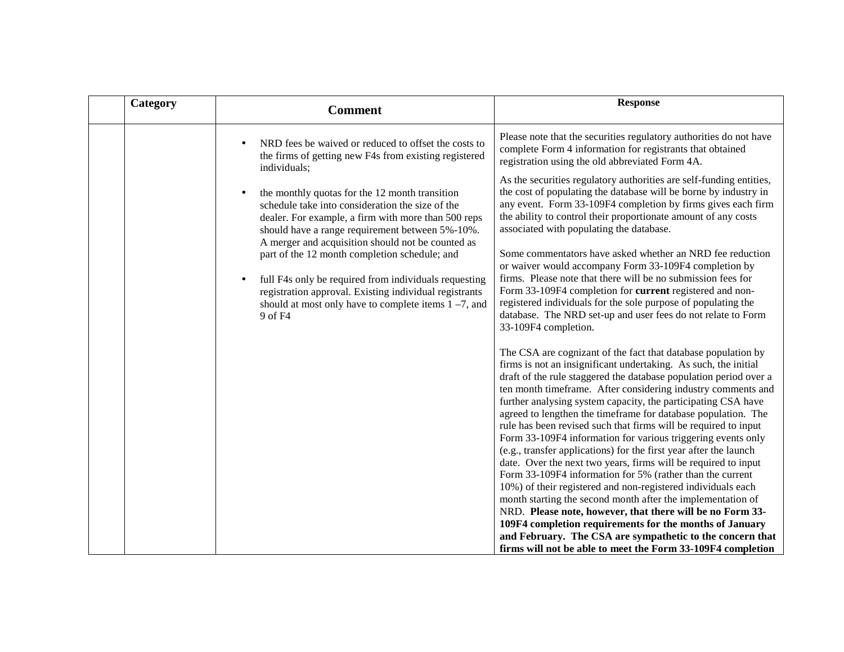| Category |                                                   | <b>Comment</b>                                                                                                                                                                                                                                                                                                                                                                                                                                                                                                                                                                                                     | <b>Response</b>                                                                                                                                                                                                                                                                                                                                                                                                                                                                                                                                                                                                                                                                                                                                                                                                                                                                                                                                                                                                                                                                                                                                                                                                                                                                                                                                                                                                                                                                                                                                                                                                                                                                                                                                                                                                                                                                                                                                                                                                                                             |
|----------|---------------------------------------------------|--------------------------------------------------------------------------------------------------------------------------------------------------------------------------------------------------------------------------------------------------------------------------------------------------------------------------------------------------------------------------------------------------------------------------------------------------------------------------------------------------------------------------------------------------------------------------------------------------------------------|-------------------------------------------------------------------------------------------------------------------------------------------------------------------------------------------------------------------------------------------------------------------------------------------------------------------------------------------------------------------------------------------------------------------------------------------------------------------------------------------------------------------------------------------------------------------------------------------------------------------------------------------------------------------------------------------------------------------------------------------------------------------------------------------------------------------------------------------------------------------------------------------------------------------------------------------------------------------------------------------------------------------------------------------------------------------------------------------------------------------------------------------------------------------------------------------------------------------------------------------------------------------------------------------------------------------------------------------------------------------------------------------------------------------------------------------------------------------------------------------------------------------------------------------------------------------------------------------------------------------------------------------------------------------------------------------------------------------------------------------------------------------------------------------------------------------------------------------------------------------------------------------------------------------------------------------------------------------------------------------------------------------------------------------------------------|
|          | individuals;<br>$\bullet$<br>$\bullet$<br>9 of F4 | NRD fees be waived or reduced to offset the costs to<br>the firms of getting new F4s from existing registered<br>the monthly quotas for the 12 month transition<br>schedule take into consideration the size of the<br>dealer. For example, a firm with more than 500 reps<br>should have a range requirement between 5%-10%.<br>A merger and acquisition should not be counted as<br>part of the 12 month completion schedule; and<br>full F4s only be required from individuals requesting<br>registration approval. Existing individual registrants<br>should at most only have to complete items $1 - 7$ , and | Please note that the securities regulatory authorities do not have<br>complete Form 4 information for registrants that obtained<br>registration using the old abbreviated Form 4A.<br>As the securities regulatory authorities are self-funding entities,<br>the cost of populating the database will be borne by industry in<br>any event. Form 33-109F4 completion by firms gives each firm<br>the ability to control their proportionate amount of any costs<br>associated with populating the database.<br>Some commentators have asked whether an NRD fee reduction<br>or waiver would accompany Form 33-109F4 completion by<br>firms. Please note that there will be no submission fees for<br>Form 33-109F4 completion for current registered and non-<br>registered individuals for the sole purpose of populating the<br>database. The NRD set-up and user fees do not relate to Form<br>33-109F4 completion.<br>The CSA are cognizant of the fact that database population by<br>firms is not an insignificant undertaking. As such, the initial<br>draft of the rule staggered the database population period over a<br>ten month timeframe. After considering industry comments and<br>further analysing system capacity, the participating CSA have<br>agreed to lengthen the timeframe for database population. The<br>rule has been revised such that firms will be required to input<br>Form 33-109F4 information for various triggering events only<br>(e.g., transfer applications) for the first year after the launch<br>date. Over the next two years, firms will be required to input<br>Form 33-109F4 information for 5% (rather than the current<br>10%) of their registered and non-registered individuals each<br>month starting the second month after the implementation of<br>NRD. Please note, however, that there will be no Form 33-<br>109F4 completion requirements for the months of January<br>and February. The CSA are sympathetic to the concern that<br>firms will not be able to meet the Form 33-109F4 completion |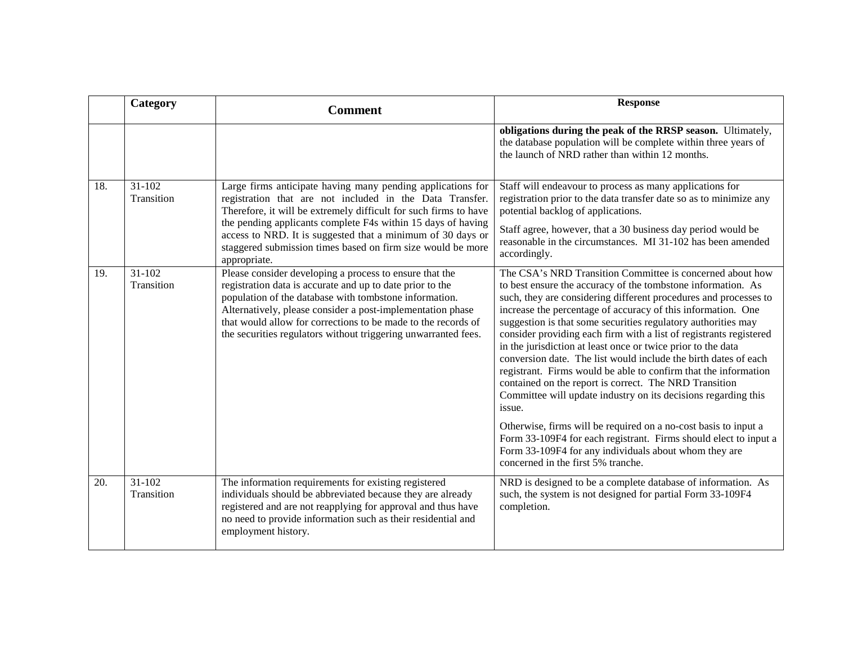|     | Category                 | <b>Comment</b>                                                                                                                                                                                                                                                                                                                                                                  | <b>Response</b>                                                                                                                                                                                                                                                                                                                                                                                                                                                                                                                                                                                                                                                                                                                                                                                                                                                                                                                                                                        |
|-----|--------------------------|---------------------------------------------------------------------------------------------------------------------------------------------------------------------------------------------------------------------------------------------------------------------------------------------------------------------------------------------------------------------------------|----------------------------------------------------------------------------------------------------------------------------------------------------------------------------------------------------------------------------------------------------------------------------------------------------------------------------------------------------------------------------------------------------------------------------------------------------------------------------------------------------------------------------------------------------------------------------------------------------------------------------------------------------------------------------------------------------------------------------------------------------------------------------------------------------------------------------------------------------------------------------------------------------------------------------------------------------------------------------------------|
|     |                          |                                                                                                                                                                                                                                                                                                                                                                                 | obligations during the peak of the RRSP season. Ultimately,<br>the database population will be complete within three years of<br>the launch of NRD rather than within 12 months.                                                                                                                                                                                                                                                                                                                                                                                                                                                                                                                                                                                                                                                                                                                                                                                                       |
| 18. | $31 - 102$<br>Transition | Large firms anticipate having many pending applications for<br>registration that are not included in the Data Transfer.<br>Therefore, it will be extremely difficult for such firms to have                                                                                                                                                                                     | Staff will endeavour to process as many applications for<br>registration prior to the data transfer date so as to minimize any<br>potential backlog of applications.                                                                                                                                                                                                                                                                                                                                                                                                                                                                                                                                                                                                                                                                                                                                                                                                                   |
|     |                          | the pending applicants complete F4s within 15 days of having<br>access to NRD. It is suggested that a minimum of 30 days or<br>staggered submission times based on firm size would be more<br>appropriate.                                                                                                                                                                      | Staff agree, however, that a 30 business day period would be<br>reasonable in the circumstances. MI 31-102 has been amended<br>accordingly.                                                                                                                                                                                                                                                                                                                                                                                                                                                                                                                                                                                                                                                                                                                                                                                                                                            |
| 19. | $31-102$<br>Transition   | Please consider developing a process to ensure that the<br>registration data is accurate and up to date prior to the<br>population of the database with tombstone information.<br>Alternatively, please consider a post-implementation phase<br>that would allow for corrections to be made to the records of<br>the securities regulators without triggering unwarranted fees. | The CSA's NRD Transition Committee is concerned about how<br>to best ensure the accuracy of the tombstone information. As<br>such, they are considering different procedures and processes to<br>increase the percentage of accuracy of this information. One<br>suggestion is that some securities regulatory authorities may<br>consider providing each firm with a list of registrants registered<br>in the jurisdiction at least once or twice prior to the data<br>conversion date. The list would include the birth dates of each<br>registrant. Firms would be able to confirm that the information<br>contained on the report is correct. The NRD Transition<br>Committee will update industry on its decisions regarding this<br>issue.<br>Otherwise, firms will be required on a no-cost basis to input a<br>Form 33-109F4 for each registrant. Firms should elect to input a<br>Form 33-109F4 for any individuals about whom they are<br>concerned in the first 5% tranche. |
| 20. | $31-102$<br>Transition   | The information requirements for existing registered<br>individuals should be abbreviated because they are already<br>registered and are not reapplying for approval and thus have<br>no need to provide information such as their residential and<br>employment history.                                                                                                       | NRD is designed to be a complete database of information. As<br>such, the system is not designed for partial Form 33-109F4<br>completion.                                                                                                                                                                                                                                                                                                                                                                                                                                                                                                                                                                                                                                                                                                                                                                                                                                              |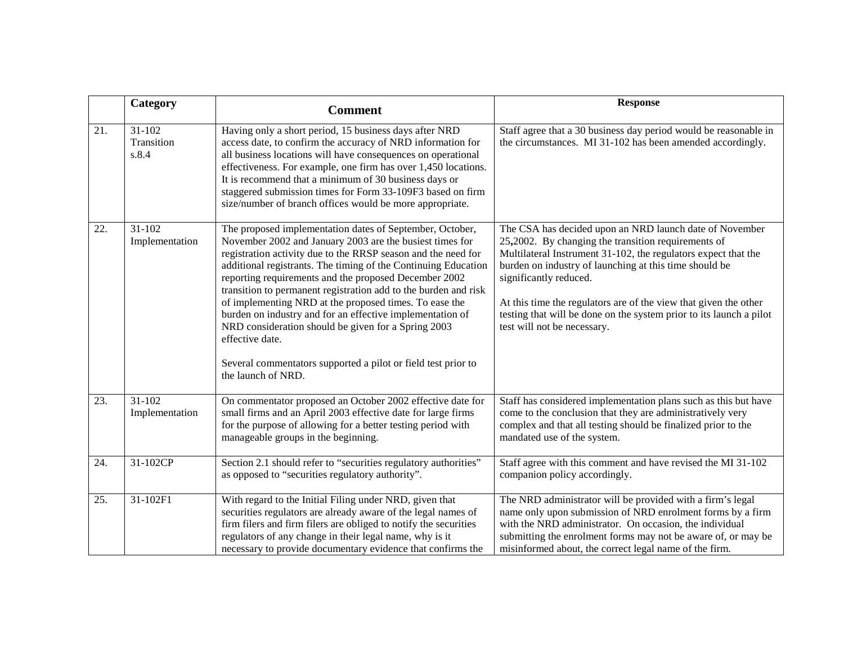|     | Category                      | <b>Comment</b>                                                                                                                                                                                                                                                                                                                                                                                                                                                                                                                                                                                                                                                              | <b>Response</b>                                                                                                                                                                                                                                                                                                                                                                                                                                |
|-----|-------------------------------|-----------------------------------------------------------------------------------------------------------------------------------------------------------------------------------------------------------------------------------------------------------------------------------------------------------------------------------------------------------------------------------------------------------------------------------------------------------------------------------------------------------------------------------------------------------------------------------------------------------------------------------------------------------------------------|------------------------------------------------------------------------------------------------------------------------------------------------------------------------------------------------------------------------------------------------------------------------------------------------------------------------------------------------------------------------------------------------------------------------------------------------|
| 21. | 31-102<br>Transition<br>s.8.4 | Having only a short period, 15 business days after NRD<br>access date, to confirm the accuracy of NRD information for<br>all business locations will have consequences on operational<br>effectiveness. For example, one firm has over 1,450 locations.<br>It is recommend that a minimum of 30 business days or<br>staggered submission times for Form 33-109F3 based on firm<br>size/number of branch offices would be more appropriate.                                                                                                                                                                                                                                  | Staff agree that a 30 business day period would be reasonable in<br>the circumstances. MI 31-102 has been amended accordingly.                                                                                                                                                                                                                                                                                                                 |
| 22. | 31-102<br>Implementation      | The proposed implementation dates of September, October,<br>November 2002 and January 2003 are the busiest times for<br>registration activity due to the RRSP season and the need for<br>additional registrants. The timing of the Continuing Education<br>reporting requirements and the proposed December 2002<br>transition to permanent registration add to the burden and risk<br>of implementing NRD at the proposed times. To ease the<br>burden on industry and for an effective implementation of<br>NRD consideration should be given for a Spring 2003<br>effective date.<br>Several commentators supported a pilot or field test prior to<br>the launch of NRD. | The CSA has decided upon an NRD launch date of November<br>25,2002. By changing the transition requirements of<br>Multilateral Instrument 31-102, the regulators expect that the<br>burden on industry of launching at this time should be<br>significantly reduced.<br>At this time the regulators are of the view that given the other<br>testing that will be done on the system prior to its launch a pilot<br>test will not be necessary. |
| 23. | $31 - 102$<br>Implementation  | On commentator proposed an October 2002 effective date for<br>small firms and an April 2003 effective date for large firms<br>for the purpose of allowing for a better testing period with<br>manageable groups in the beginning.                                                                                                                                                                                                                                                                                                                                                                                                                                           | Staff has considered implementation plans such as this but have<br>come to the conclusion that they are administratively very<br>complex and that all testing should be finalized prior to the<br>mandated use of the system.                                                                                                                                                                                                                  |
| 24. | 31-102CP                      | Section 2.1 should refer to "securities regulatory authorities"<br>as opposed to "securities regulatory authority".                                                                                                                                                                                                                                                                                                                                                                                                                                                                                                                                                         | Staff agree with this comment and have revised the MI 31-102<br>companion policy accordingly.                                                                                                                                                                                                                                                                                                                                                  |
| 25. | 31-102F1                      | With regard to the Initial Filing under NRD, given that<br>securities regulators are already aware of the legal names of<br>firm filers and firm filers are obliged to notify the securities<br>regulators of any change in their legal name, why is it<br>necessary to provide documentary evidence that confirms the                                                                                                                                                                                                                                                                                                                                                      | The NRD administrator will be provided with a firm's legal<br>name only upon submission of NRD enrolment forms by a firm<br>with the NRD administrator. On occasion, the individual<br>submitting the enrolment forms may not be aware of, or may be<br>misinformed about, the correct legal name of the firm.                                                                                                                                 |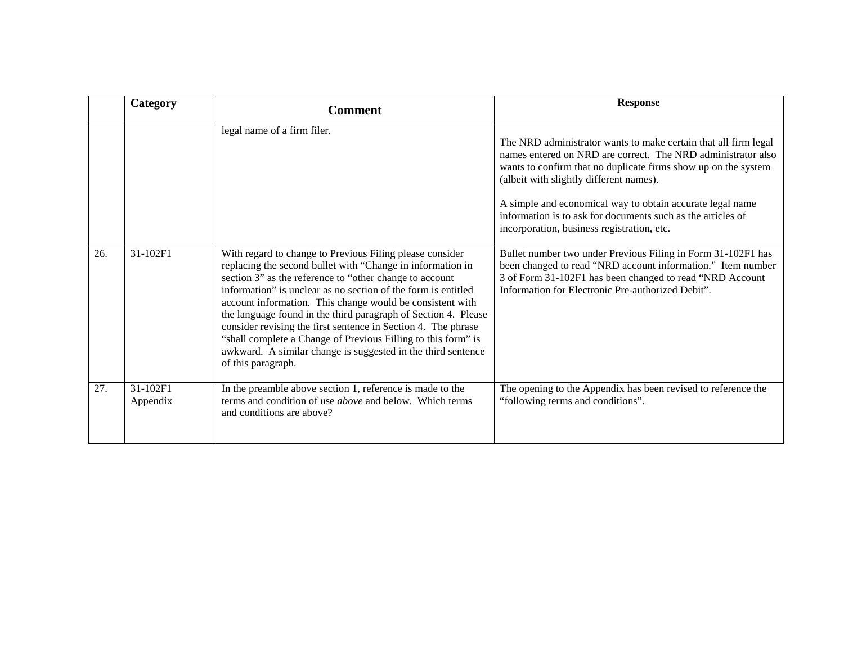|     | Category                                                                                            | <b>Comment</b>                                                                                                                                                                                                                                                                                                                                                                                                                                                                                                                                | <b>Response</b>                                                                                                                                                                                                                                                                                                                                                                                                                                                                        |
|-----|-----------------------------------------------------------------------------------------------------|-----------------------------------------------------------------------------------------------------------------------------------------------------------------------------------------------------------------------------------------------------------------------------------------------------------------------------------------------------------------------------------------------------------------------------------------------------------------------------------------------------------------------------------------------|----------------------------------------------------------------------------------------------------------------------------------------------------------------------------------------------------------------------------------------------------------------------------------------------------------------------------------------------------------------------------------------------------------------------------------------------------------------------------------------|
| 26. | legal name of a firm filer.<br>31-102F1<br>With regard to change to Previous Filing please consider |                                                                                                                                                                                                                                                                                                                                                                                                                                                                                                                                               | The NRD administrator wants to make certain that all firm legal<br>names entered on NRD are correct. The NRD administrator also<br>wants to confirm that no duplicate firms show up on the system<br>(albeit with slightly different names).<br>A simple and economical way to obtain accurate legal name<br>information is to ask for documents such as the articles of<br>incorporation, business registration, etc.<br>Bullet number two under Previous Filing in Form 31-102F1 has |
|     |                                                                                                     | replacing the second bullet with "Change in information in<br>section 3" as the reference to "other change to account<br>information" is unclear as no section of the form is entitled<br>account information. This change would be consistent with<br>the language found in the third paragraph of Section 4. Please<br>consider revising the first sentence in Section 4. The phrase<br>"shall complete a Change of Previous Filling to this form" is<br>awkward. A similar change is suggested in the third sentence<br>of this paragraph. | been changed to read "NRD account information." Item number<br>3 of Form 31-102F1 has been changed to read "NRD Account<br>Information for Electronic Pre-authorized Debit".                                                                                                                                                                                                                                                                                                           |
| 27. | 31-102F1<br>Appendix                                                                                | In the preamble above section 1, reference is made to the<br>terms and condition of use <i>above</i> and below. Which terms<br>and conditions are above?                                                                                                                                                                                                                                                                                                                                                                                      | The opening to the Appendix has been revised to reference the<br>"following terms and conditions".                                                                                                                                                                                                                                                                                                                                                                                     |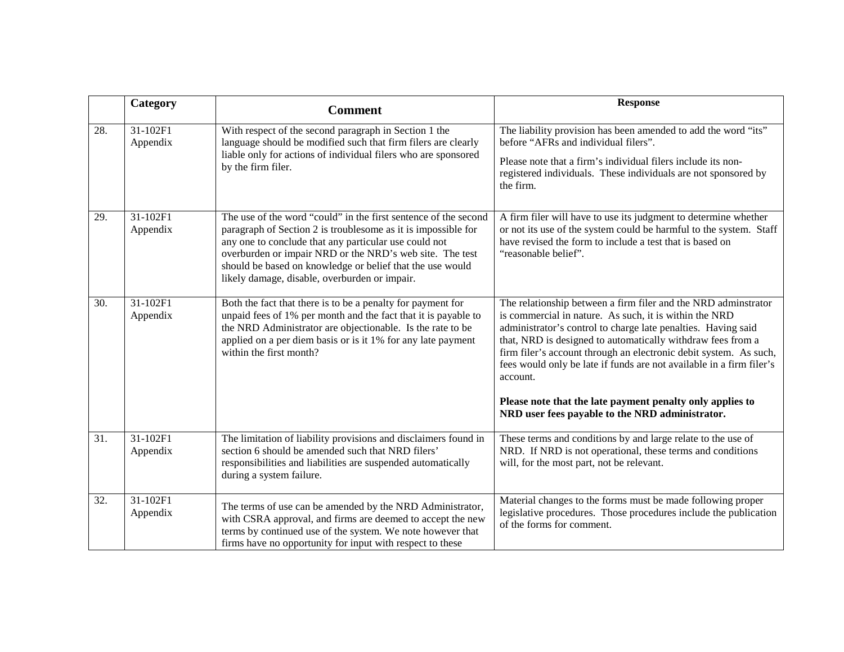|     | Category             | <b>Comment</b>                                                                                                                                                                                                                                                                                                                                                      | <b>Response</b>                                                                                                                                                                                                                                                                                                                                                                                                   |
|-----|----------------------|---------------------------------------------------------------------------------------------------------------------------------------------------------------------------------------------------------------------------------------------------------------------------------------------------------------------------------------------------------------------|-------------------------------------------------------------------------------------------------------------------------------------------------------------------------------------------------------------------------------------------------------------------------------------------------------------------------------------------------------------------------------------------------------------------|
| 28. | 31-102F1<br>Appendix | With respect of the second paragraph in Section 1 the<br>language should be modified such that firm filers are clearly<br>liable only for actions of individual filers who are sponsored<br>by the firm filer.                                                                                                                                                      | The liability provision has been amended to add the word "its"<br>before "AFRs and individual filers".<br>Please note that a firm's individual filers include its non-<br>registered individuals. These individuals are not sponsored by<br>the firm.                                                                                                                                                             |
| 29. | 31-102F1<br>Appendix | The use of the word "could" in the first sentence of the second<br>paragraph of Section 2 is troublesome as it is impossible for<br>any one to conclude that any particular use could not<br>overburden or impair NRD or the NRD's web site. The test<br>should be based on knowledge or belief that the use would<br>likely damage, disable, overburden or impair. | A firm filer will have to use its judgment to determine whether<br>or not its use of the system could be harmful to the system. Staff<br>have revised the form to include a test that is based on<br>"reasonable belief".                                                                                                                                                                                         |
| 30. | 31-102F1<br>Appendix | Both the fact that there is to be a penalty for payment for<br>unpaid fees of 1% per month and the fact that it is payable to<br>the NRD Administrator are objectionable. Is the rate to be<br>applied on a per diem basis or is it 1% for any late payment<br>within the first month?                                                                              | The relationship between a firm filer and the NRD adminstrator<br>is commercial in nature. As such, it is within the NRD<br>administrator's control to charge late penalties. Having said<br>that, NRD is designed to automatically withdraw fees from a<br>firm filer's account through an electronic debit system. As such,<br>fees would only be late if funds are not available in a firm filer's<br>account. |
|     |                      |                                                                                                                                                                                                                                                                                                                                                                     | Please note that the late payment penalty only applies to<br>NRD user fees payable to the NRD administrator.                                                                                                                                                                                                                                                                                                      |
| 31. | 31-102F1<br>Appendix | The limitation of liability provisions and disclaimers found in<br>section 6 should be amended such that NRD filers'<br>responsibilities and liabilities are suspended automatically<br>during a system failure.                                                                                                                                                    | These terms and conditions by and large relate to the use of<br>NRD. If NRD is not operational, these terms and conditions<br>will, for the most part, not be relevant.                                                                                                                                                                                                                                           |
| 32. | 31-102F1<br>Appendix | The terms of use can be amended by the NRD Administrator,<br>with CSRA approval, and firms are deemed to accept the new<br>terms by continued use of the system. We note however that<br>firms have no opportunity for input with respect to these                                                                                                                  | Material changes to the forms must be made following proper<br>legislative procedures. Those procedures include the publication<br>of the forms for comment.                                                                                                                                                                                                                                                      |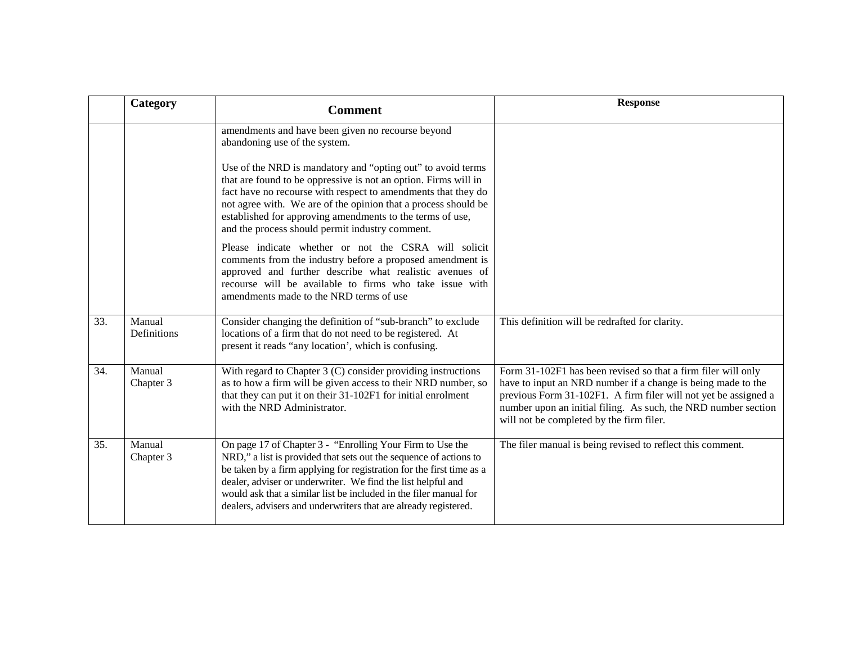|     | Category              | <b>Comment</b>                                                                                                                                                                                                                                                                                                                                                                                                 | <b>Response</b>                                                                                                                                                                                                                                                                                                |
|-----|-----------------------|----------------------------------------------------------------------------------------------------------------------------------------------------------------------------------------------------------------------------------------------------------------------------------------------------------------------------------------------------------------------------------------------------------------|----------------------------------------------------------------------------------------------------------------------------------------------------------------------------------------------------------------------------------------------------------------------------------------------------------------|
|     |                       | amendments and have been given no recourse beyond<br>abandoning use of the system.                                                                                                                                                                                                                                                                                                                             |                                                                                                                                                                                                                                                                                                                |
|     |                       | Use of the NRD is mandatory and "opting out" to avoid terms<br>that are found to be oppressive is not an option. Firms will in<br>fact have no recourse with respect to amendments that they do<br>not agree with. We are of the opinion that a process should be<br>established for approving amendments to the terms of use,<br>and the process should permit industry comment.                              |                                                                                                                                                                                                                                                                                                                |
|     |                       | Please indicate whether or not the CSRA will solicit<br>comments from the industry before a proposed amendment is<br>approved and further describe what realistic avenues of<br>recourse will be available to firms who take issue with<br>amendments made to the NRD terms of use                                                                                                                             |                                                                                                                                                                                                                                                                                                                |
| 33. | Manual<br>Definitions | Consider changing the definition of "sub-branch" to exclude<br>locations of a firm that do not need to be registered. At<br>present it reads "any location', which is confusing.                                                                                                                                                                                                                               | This definition will be redrafted for clarity.                                                                                                                                                                                                                                                                 |
| 34. | Manual<br>Chapter 3   | With regard to Chapter $3$ (C) consider providing instructions<br>as to how a firm will be given access to their NRD number, so<br>that they can put it on their 31-102F1 for initial enrolment<br>with the NRD Administrator.                                                                                                                                                                                 | Form 31-102F1 has been revised so that a firm filer will only<br>have to input an NRD number if a change is being made to the<br>previous Form 31-102F1. A firm filer will not yet be assigned a<br>number upon an initial filing. As such, the NRD number section<br>will not be completed by the firm filer. |
| 35. | Manual<br>Chapter 3   | On page 17 of Chapter 3 - "Enrolling Your Firm to Use the<br>NRD," a list is provided that sets out the sequence of actions to<br>be taken by a firm applying for registration for the first time as a<br>dealer, adviser or underwriter. We find the list helpful and<br>would ask that a similar list be included in the filer manual for<br>dealers, advisers and underwriters that are already registered. | The filer manual is being revised to reflect this comment.                                                                                                                                                                                                                                                     |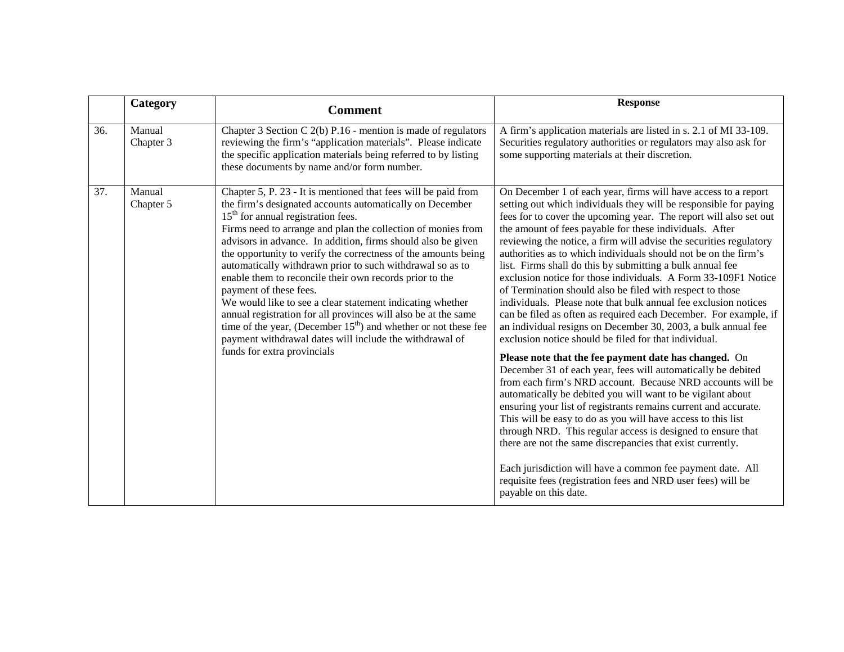|     | Category            | <b>Comment</b>                                                                                                                                                                                                                                                                                                                                                                                                                                                                                                                                                                                                                                                                                                                                                                                                       | <b>Response</b>                                                                                                                                                                                                                                                                                                                                                                                                                                                                                                                                                                                                                                                                                                                                                                                                                                                                                                                                                                                                                                                                                                                                                                                                                                                                                                                                                                                                                                                                                                                                        |
|-----|---------------------|----------------------------------------------------------------------------------------------------------------------------------------------------------------------------------------------------------------------------------------------------------------------------------------------------------------------------------------------------------------------------------------------------------------------------------------------------------------------------------------------------------------------------------------------------------------------------------------------------------------------------------------------------------------------------------------------------------------------------------------------------------------------------------------------------------------------|--------------------------------------------------------------------------------------------------------------------------------------------------------------------------------------------------------------------------------------------------------------------------------------------------------------------------------------------------------------------------------------------------------------------------------------------------------------------------------------------------------------------------------------------------------------------------------------------------------------------------------------------------------------------------------------------------------------------------------------------------------------------------------------------------------------------------------------------------------------------------------------------------------------------------------------------------------------------------------------------------------------------------------------------------------------------------------------------------------------------------------------------------------------------------------------------------------------------------------------------------------------------------------------------------------------------------------------------------------------------------------------------------------------------------------------------------------------------------------------------------------------------------------------------------------|
| 36. | Manual<br>Chapter 3 | Chapter 3 Section C 2(b) P.16 - mention is made of regulators<br>reviewing the firm's "application materials". Please indicate<br>the specific application materials being referred to by listing<br>these documents by name and/or form number.                                                                                                                                                                                                                                                                                                                                                                                                                                                                                                                                                                     | A firm's application materials are listed in s. 2.1 of MI 33-109.<br>Securities regulatory authorities or regulators may also ask for<br>some supporting materials at their discretion.                                                                                                                                                                                                                                                                                                                                                                                                                                                                                                                                                                                                                                                                                                                                                                                                                                                                                                                                                                                                                                                                                                                                                                                                                                                                                                                                                                |
| 37. | Manual<br>Chapter 5 | Chapter 5, P. 23 - It is mentioned that fees will be paid from<br>the firm's designated accounts automatically on December<br>$15th$ for annual registration fees.<br>Firms need to arrange and plan the collection of monies from<br>advisors in advance. In addition, firms should also be given<br>the opportunity to verify the correctness of the amounts being<br>automatically withdrawn prior to such withdrawal so as to<br>enable them to reconcile their own records prior to the<br>payment of these fees.<br>We would like to see a clear statement indicating whether<br>annual registration for all provinces will also be at the same<br>time of the year, (December $15th$ ) and whether or not these fee<br>payment withdrawal dates will include the withdrawal of<br>funds for extra provincials | On December 1 of each year, firms will have access to a report<br>setting out which individuals they will be responsible for paying<br>fees for to cover the upcoming year. The report will also set out<br>the amount of fees payable for these individuals. After<br>reviewing the notice, a firm will advise the securities regulatory<br>authorities as to which individuals should not be on the firm's<br>list. Firms shall do this by submitting a bulk annual fee<br>exclusion notice for those individuals. A Form 33-109F1 Notice<br>of Termination should also be filed with respect to those<br>individuals. Please note that bulk annual fee exclusion notices<br>can be filed as often as required each December. For example, if<br>an individual resigns on December 30, 2003, a bulk annual fee<br>exclusion notice should be filed for that individual.<br>Please note that the fee payment date has changed. On<br>December 31 of each year, fees will automatically be debited<br>from each firm's NRD account. Because NRD accounts will be<br>automatically be debited you will want to be vigilant about<br>ensuring your list of registrants remains current and accurate.<br>This will be easy to do as you will have access to this list<br>through NRD. This regular access is designed to ensure that<br>there are not the same discrepancies that exist currently.<br>Each jurisdiction will have a common fee payment date. All<br>requisite fees (registration fees and NRD user fees) will be<br>payable on this date. |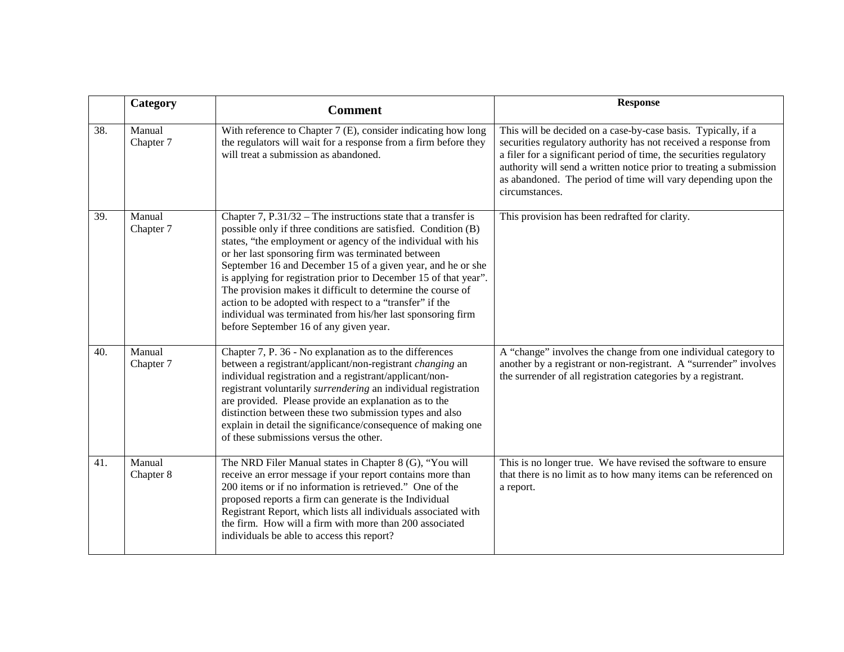|     | Category            | <b>Comment</b>                                                                                                                                                                                                                                                                                                                                                                                                                                                                                                                                                                                                                  | <b>Response</b>                                                                                                                                                                                                                                                                                                                                                    |
|-----|---------------------|---------------------------------------------------------------------------------------------------------------------------------------------------------------------------------------------------------------------------------------------------------------------------------------------------------------------------------------------------------------------------------------------------------------------------------------------------------------------------------------------------------------------------------------------------------------------------------------------------------------------------------|--------------------------------------------------------------------------------------------------------------------------------------------------------------------------------------------------------------------------------------------------------------------------------------------------------------------------------------------------------------------|
| 38. | Manual<br>Chapter 7 | With reference to Chapter 7 (E), consider indicating how long<br>the regulators will wait for a response from a firm before they<br>will treat a submission as abandoned.                                                                                                                                                                                                                                                                                                                                                                                                                                                       | This will be decided on a case-by-case basis. Typically, if a<br>securities regulatory authority has not received a response from<br>a filer for a significant period of time, the securities regulatory<br>authority will send a written notice prior to treating a submission<br>as abandoned. The period of time will vary depending upon the<br>circumstances. |
| 39. | Manual<br>Chapter 7 | Chapter 7, $P.31/32$ – The instructions state that a transfer is<br>possible only if three conditions are satisfied. Condition (B)<br>states, "the employment or agency of the individual with his<br>or her last sponsoring firm was terminated between<br>September 16 and December 15 of a given year, and he or she<br>is applying for registration prior to December 15 of that year".<br>The provision makes it difficult to determine the course of<br>action to be adopted with respect to a "transfer" if the<br>individual was terminated from his/her last sponsoring firm<br>before September 16 of any given year. | This provision has been redrafted for clarity.                                                                                                                                                                                                                                                                                                                     |
| 40. | Manual<br>Chapter 7 | Chapter 7, P. 36 - No explanation as to the differences<br>between a registrant/applicant/non-registrant changing an<br>individual registration and a registrant/applicant/non-<br>registrant voluntarily surrendering an individual registration<br>are provided. Please provide an explanation as to the<br>distinction between these two submission types and also<br>explain in detail the significance/consequence of making one<br>of these submissions versus the other.                                                                                                                                                 | A "change" involves the change from one individual category to<br>another by a registrant or non-registrant. A "surrender" involves<br>the surrender of all registration categories by a registrant.                                                                                                                                                               |
| 41. | Manual<br>Chapter 8 | The NRD Filer Manual states in Chapter 8 (G), "You will<br>receive an error message if your report contains more than<br>200 items or if no information is retrieved." One of the<br>proposed reports a firm can generate is the Individual<br>Registrant Report, which lists all individuals associated with<br>the firm. How will a firm with more than 200 associated<br>individuals be able to access this report?                                                                                                                                                                                                          | This is no longer true. We have revised the software to ensure<br>that there is no limit as to how many items can be referenced on<br>a report.                                                                                                                                                                                                                    |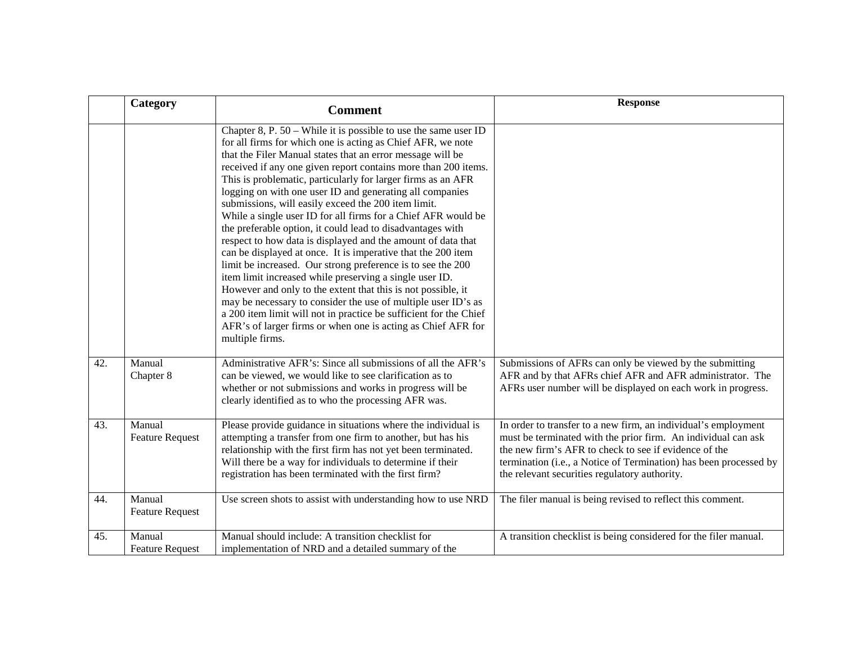|     | Category                         | <b>Comment</b>                                                                                                                                                                                                                                                                                                                                                                                                                                                                                                                                                                                                                                                                                                                                                                                                                                                                                                                                                                                                                                                                                                                        | <b>Response</b>                                                                                                                                                                                                                                                                                                |
|-----|----------------------------------|---------------------------------------------------------------------------------------------------------------------------------------------------------------------------------------------------------------------------------------------------------------------------------------------------------------------------------------------------------------------------------------------------------------------------------------------------------------------------------------------------------------------------------------------------------------------------------------------------------------------------------------------------------------------------------------------------------------------------------------------------------------------------------------------------------------------------------------------------------------------------------------------------------------------------------------------------------------------------------------------------------------------------------------------------------------------------------------------------------------------------------------|----------------------------------------------------------------------------------------------------------------------------------------------------------------------------------------------------------------------------------------------------------------------------------------------------------------|
|     |                                  | Chapter 8, P. $50$ – While it is possible to use the same user ID<br>for all firms for which one is acting as Chief AFR, we note<br>that the Filer Manual states that an error message will be<br>received if any one given report contains more than 200 items.<br>This is problematic, particularly for larger firms as an AFR<br>logging on with one user ID and generating all companies<br>submissions, will easily exceed the 200 item limit.<br>While a single user ID for all firms for a Chief AFR would be<br>the preferable option, it could lead to disadvantages with<br>respect to how data is displayed and the amount of data that<br>can be displayed at once. It is imperative that the 200 item<br>limit be increased. Our strong preference is to see the 200<br>item limit increased while preserving a single user ID.<br>However and only to the extent that this is not possible, it<br>may be necessary to consider the use of multiple user ID's as<br>a 200 item limit will not in practice be sufficient for the Chief<br>AFR's of larger firms or when one is acting as Chief AFR for<br>multiple firms. |                                                                                                                                                                                                                                                                                                                |
| 42. | Manual<br>Chapter 8              | Administrative AFR's: Since all submissions of all the AFR's<br>can be viewed, we would like to see clarification as to<br>whether or not submissions and works in progress will be<br>clearly identified as to who the processing AFR was.                                                                                                                                                                                                                                                                                                                                                                                                                                                                                                                                                                                                                                                                                                                                                                                                                                                                                           | Submissions of AFRs can only be viewed by the submitting<br>AFR and by that AFRs chief AFR and AFR administrator. The<br>AFRs user number will be displayed on each work in progress.                                                                                                                          |
| 43. | Manual<br><b>Feature Request</b> | Please provide guidance in situations where the individual is<br>attempting a transfer from one firm to another, but has his<br>relationship with the first firm has not yet been terminated.<br>Will there be a way for individuals to determine if their<br>registration has been terminated with the first firm?                                                                                                                                                                                                                                                                                                                                                                                                                                                                                                                                                                                                                                                                                                                                                                                                                   | In order to transfer to a new firm, an individual's employment<br>must be terminated with the prior firm. An individual can ask<br>the new firm's AFR to check to see if evidence of the<br>termination (i.e., a Notice of Termination) has been processed by<br>the relevant securities regulatory authority. |
| 44. | Manual<br><b>Feature Request</b> | Use screen shots to assist with understanding how to use NRD                                                                                                                                                                                                                                                                                                                                                                                                                                                                                                                                                                                                                                                                                                                                                                                                                                                                                                                                                                                                                                                                          | The filer manual is being revised to reflect this comment.                                                                                                                                                                                                                                                     |
| 45. | Manual<br><b>Feature Request</b> | Manual should include: A transition checklist for<br>implementation of NRD and a detailed summary of the                                                                                                                                                                                                                                                                                                                                                                                                                                                                                                                                                                                                                                                                                                                                                                                                                                                                                                                                                                                                                              | A transition checklist is being considered for the filer manual.                                                                                                                                                                                                                                               |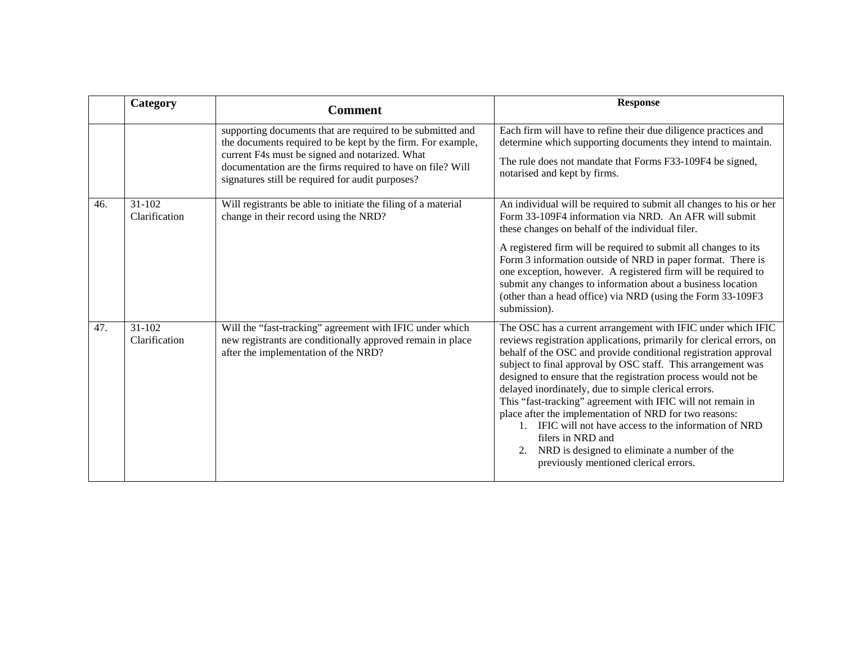|     | Category                | <b>Comment</b>                                                                                                                                                                                                                                                                                | <b>Response</b>                                                                                                                                                                                                                                                                                                                                                                                                                                                                                                                                                                                                                                                                                      |
|-----|-------------------------|-----------------------------------------------------------------------------------------------------------------------------------------------------------------------------------------------------------------------------------------------------------------------------------------------|------------------------------------------------------------------------------------------------------------------------------------------------------------------------------------------------------------------------------------------------------------------------------------------------------------------------------------------------------------------------------------------------------------------------------------------------------------------------------------------------------------------------------------------------------------------------------------------------------------------------------------------------------------------------------------------------------|
|     |                         | supporting documents that are required to be submitted and<br>the documents required to be kept by the firm. For example,<br>current F4s must be signed and notarized. What<br>documentation are the firms required to have on file? Will<br>signatures still be required for audit purposes? | Each firm will have to refine their due diligence practices and<br>determine which supporting documents they intend to maintain.<br>The rule does not mandate that Forms F33-109F4 be signed,<br>notarised and kept by firms.                                                                                                                                                                                                                                                                                                                                                                                                                                                                        |
| 46. | 31-102<br>Clarification | Will registrants be able to initiate the filing of a material<br>change in their record using the NRD?                                                                                                                                                                                        | An individual will be required to submit all changes to his or her<br>Form 33-109F4 information via NRD. An AFR will submit<br>these changes on behalf of the individual filer.<br>A registered firm will be required to submit all changes to its<br>Form 3 information outside of NRD in paper format. There is<br>one exception, however. A registered firm will be required to<br>submit any changes to information about a business location<br>(other than a head office) via NRD (using the Form 33-109F3<br>submission).                                                                                                                                                                     |
| 47. | 31-102<br>Clarification | Will the "fast-tracking" agreement with IFIC under which<br>new registrants are conditionally approved remain in place<br>after the implementation of the NRD?                                                                                                                                | The OSC has a current arrangement with IFIC under which IFIC<br>reviews registration applications, primarily for clerical errors, on<br>behalf of the OSC and provide conditional registration approval<br>subject to final approval by OSC staff. This arrangement was<br>designed to ensure that the registration process would not be<br>delayed inordinately, due to simple clerical errors.<br>This "fast-tracking" agreement with IFIC will not remain in<br>place after the implementation of NRD for two reasons:<br>1. IFIC will not have access to the information of NRD<br>filers in NRD and<br>2. NRD is designed to eliminate a number of the<br>previously mentioned clerical errors. |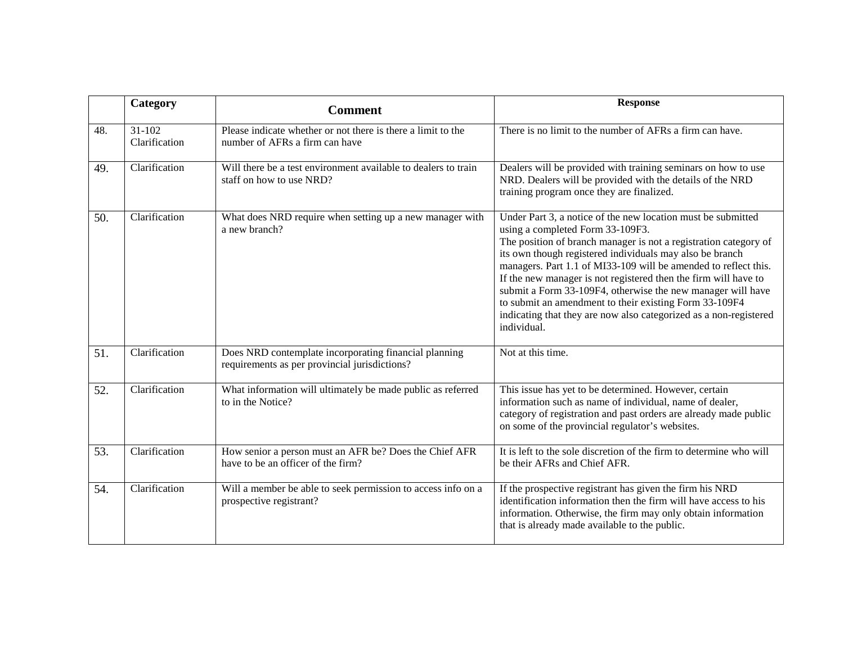|     | Category                  | <b>Comment</b>                                                                                         | <b>Response</b>                                                                                                                                                                                                                                                                                                                                                                                                                                                                                                                                                                     |
|-----|---------------------------|--------------------------------------------------------------------------------------------------------|-------------------------------------------------------------------------------------------------------------------------------------------------------------------------------------------------------------------------------------------------------------------------------------------------------------------------------------------------------------------------------------------------------------------------------------------------------------------------------------------------------------------------------------------------------------------------------------|
| 48. | $31-102$<br>Clarification | Please indicate whether or not there is there a limit to the<br>number of AFRs a firm can have         | There is no limit to the number of AFRs a firm can have.                                                                                                                                                                                                                                                                                                                                                                                                                                                                                                                            |
| 49. | Clarification             | Will there be a test environment available to dealers to train<br>staff on how to use NRD?             | Dealers will be provided with training seminars on how to use<br>NRD. Dealers will be provided with the details of the NRD<br>training program once they are finalized.                                                                                                                                                                                                                                                                                                                                                                                                             |
| 50. | Clarification             | What does NRD require when setting up a new manager with<br>a new branch?                              | Under Part 3, a notice of the new location must be submitted<br>using a completed Form 33-109F3.<br>The position of branch manager is not a registration category of<br>its own though registered individuals may also be branch<br>managers. Part 1.1 of MI33-109 will be amended to reflect this.<br>If the new manager is not registered then the firm will have to<br>submit a Form 33-109F4, otherwise the new manager will have<br>to submit an amendment to their existing Form 33-109F4<br>indicating that they are now also categorized as a non-registered<br>individual. |
| 51. | Clarification             | Does NRD contemplate incorporating financial planning<br>requirements as per provincial jurisdictions? | Not at this time.                                                                                                                                                                                                                                                                                                                                                                                                                                                                                                                                                                   |
| 52. | Clarification             | What information will ultimately be made public as referred<br>to in the Notice?                       | This issue has yet to be determined. However, certain<br>information such as name of individual, name of dealer,<br>category of registration and past orders are already made public<br>on some of the provincial regulator's websites.                                                                                                                                                                                                                                                                                                                                             |
| 53. | Clarification             | How senior a person must an AFR be? Does the Chief AFR<br>have to be an officer of the firm?           | It is left to the sole discretion of the firm to determine who will<br>be their AFRs and Chief AFR.                                                                                                                                                                                                                                                                                                                                                                                                                                                                                 |
| 54. | Clarification             | Will a member be able to seek permission to access info on a<br>prospective registrant?                | If the prospective registrant has given the firm his NRD<br>identification information then the firm will have access to his<br>information. Otherwise, the firm may only obtain information<br>that is already made available to the public.                                                                                                                                                                                                                                                                                                                                       |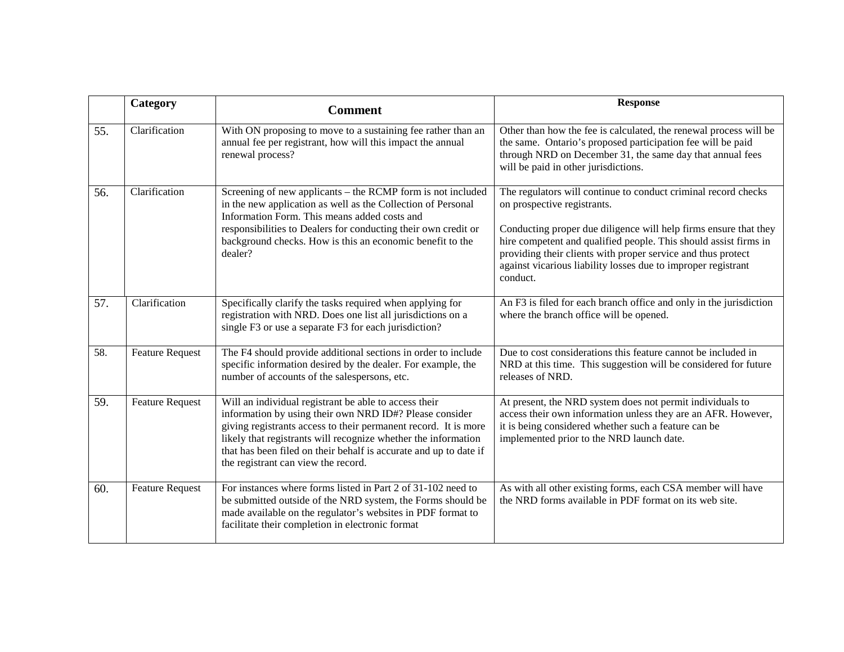|     | Category               | <b>Comment</b>                                                                                                                                                                                                                                                                                                                                                    | <b>Response</b>                                                                                                                                                                                                                                                                                                                                                                    |
|-----|------------------------|-------------------------------------------------------------------------------------------------------------------------------------------------------------------------------------------------------------------------------------------------------------------------------------------------------------------------------------------------------------------|------------------------------------------------------------------------------------------------------------------------------------------------------------------------------------------------------------------------------------------------------------------------------------------------------------------------------------------------------------------------------------|
| 55. | Clarification          | With ON proposing to move to a sustaining fee rather than an<br>annual fee per registrant, how will this impact the annual<br>renewal process?                                                                                                                                                                                                                    | Other than how the fee is calculated, the renewal process will be<br>the same. Ontario's proposed participation fee will be paid<br>through NRD on December 31, the same day that annual fees<br>will be paid in other jurisdictions.                                                                                                                                              |
| 56. | Clarification          | Screening of new applicants – the RCMP form is not included<br>in the new application as well as the Collection of Personal<br>Information Form. This means added costs and<br>responsibilities to Dealers for conducting their own credit or<br>background checks. How is this an economic benefit to the<br>dealer?                                             | The regulators will continue to conduct criminal record checks<br>on prospective registrants.<br>Conducting proper due diligence will help firms ensure that they<br>hire competent and qualified people. This should assist firms in<br>providing their clients with proper service and thus protect<br>against vicarious liability losses due to improper registrant<br>conduct. |
| 57. | Clarification          | Specifically clarify the tasks required when applying for<br>registration with NRD. Does one list all jurisdictions on a<br>single F3 or use a separate F3 for each jurisdiction?                                                                                                                                                                                 | An F3 is filed for each branch office and only in the jurisdiction<br>where the branch office will be opened.                                                                                                                                                                                                                                                                      |
| 58. | <b>Feature Request</b> | The F4 should provide additional sections in order to include<br>specific information desired by the dealer. For example, the<br>number of accounts of the salespersons, etc.                                                                                                                                                                                     | Due to cost considerations this feature cannot be included in<br>NRD at this time. This suggestion will be considered for future<br>releases of NRD.                                                                                                                                                                                                                               |
| 59. | <b>Feature Request</b> | Will an individual registrant be able to access their<br>information by using their own NRD ID#? Please consider<br>giving registrants access to their permanent record. It is more<br>likely that registrants will recognize whether the information<br>that has been filed on their behalf is accurate and up to date if<br>the registrant can view the record. | At present, the NRD system does not permit individuals to<br>access their own information unless they are an AFR. However,<br>it is being considered whether such a feature can be<br>implemented prior to the NRD launch date.                                                                                                                                                    |
| 60. | <b>Feature Request</b> | For instances where forms listed in Part 2 of 31-102 need to<br>be submitted outside of the NRD system, the Forms should be<br>made available on the regulator's websites in PDF format to<br>facilitate their completion in electronic format                                                                                                                    | As with all other existing forms, each CSA member will have<br>the NRD forms available in PDF format on its web site.                                                                                                                                                                                                                                                              |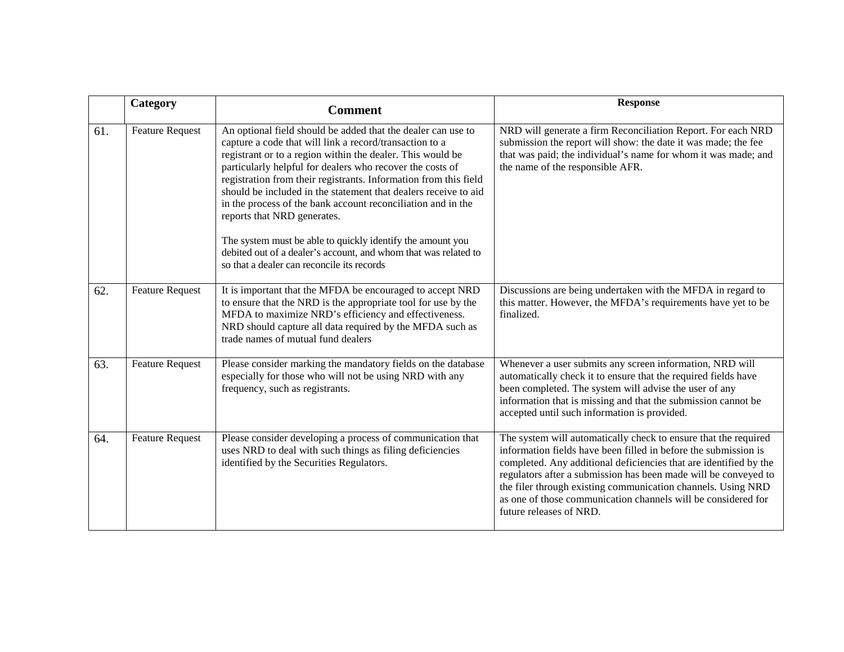|     | Category               | <b>Comment</b>                                                                                                                                                                                                                                                                                                                                                                                                                                                                                                                                                                                                            | <b>Response</b>                                                                                                                                                                                                                                                                                                                                                                                                                        |
|-----|------------------------|---------------------------------------------------------------------------------------------------------------------------------------------------------------------------------------------------------------------------------------------------------------------------------------------------------------------------------------------------------------------------------------------------------------------------------------------------------------------------------------------------------------------------------------------------------------------------------------------------------------------------|----------------------------------------------------------------------------------------------------------------------------------------------------------------------------------------------------------------------------------------------------------------------------------------------------------------------------------------------------------------------------------------------------------------------------------------|
| 61. | <b>Feature Request</b> | An optional field should be added that the dealer can use to<br>capture a code that will link a record/transaction to a<br>registrant or to a region within the dealer. This would be<br>particularly helpful for dealers who recover the costs of<br>registration from their registrants. Information from this field<br>should be included in the statement that dealers receive to aid<br>in the process of the bank account reconciliation and in the<br>reports that NRD generates.<br>The system must be able to quickly identify the amount you<br>debited out of a dealer's account, and whom that was related to | NRD will generate a firm Reconciliation Report. For each NRD<br>submission the report will show: the date it was made; the fee<br>that was paid; the individual's name for whom it was made; and<br>the name of the responsible AFR.                                                                                                                                                                                                   |
|     |                        | so that a dealer can reconcile its records                                                                                                                                                                                                                                                                                                                                                                                                                                                                                                                                                                                |                                                                                                                                                                                                                                                                                                                                                                                                                                        |
| 62. | <b>Feature Request</b> | It is important that the MFDA be encouraged to accept NRD<br>to ensure that the NRD is the appropriate tool for use by the<br>MFDA to maximize NRD's efficiency and effectiveness.<br>NRD should capture all data required by the MFDA such as<br>trade names of mutual fund dealers                                                                                                                                                                                                                                                                                                                                      | Discussions are being undertaken with the MFDA in regard to<br>this matter. However, the MFDA's requirements have yet to be<br>finalized.                                                                                                                                                                                                                                                                                              |
| 63. | <b>Feature Request</b> | Please consider marking the mandatory fields on the database<br>especially for those who will not be using NRD with any<br>frequency, such as registrants.                                                                                                                                                                                                                                                                                                                                                                                                                                                                | Whenever a user submits any screen information, NRD will<br>automatically check it to ensure that the required fields have<br>been completed. The system will advise the user of any<br>information that is missing and that the submission cannot be<br>accepted until such information is provided.                                                                                                                                  |
| 64. | <b>Feature Request</b> | Please consider developing a process of communication that<br>uses NRD to deal with such things as filing deficiencies<br>identified by the Securities Regulators.                                                                                                                                                                                                                                                                                                                                                                                                                                                        | The system will automatically check to ensure that the required<br>information fields have been filled in before the submission is<br>completed. Any additional deficiencies that are identified by the<br>regulators after a submission has been made will be conveyed to<br>the filer through existing communication channels. Using NRD<br>as one of those communication channels will be considered for<br>future releases of NRD. |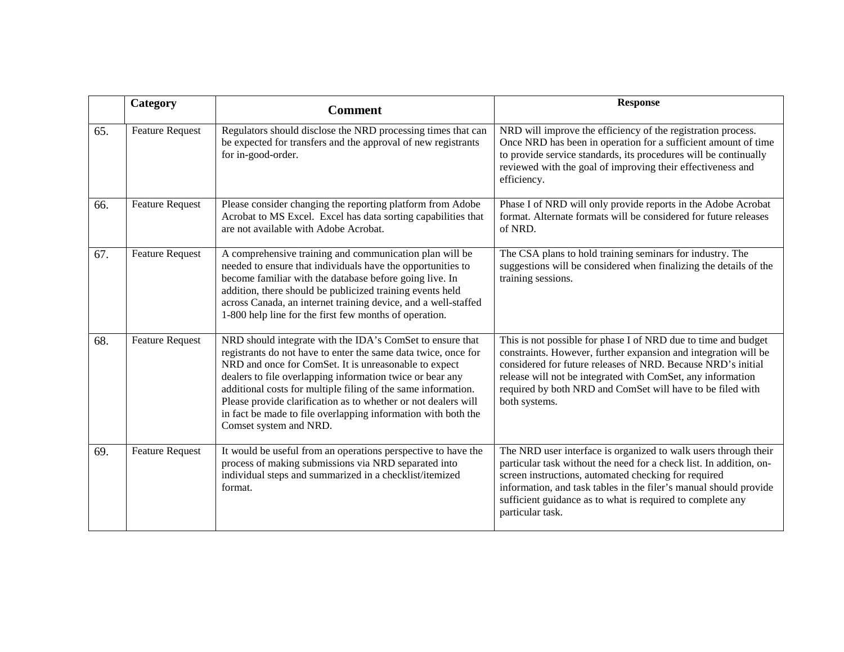|     | Category               | <b>Comment</b>                                                                                                                                                                                                                                                                                                                                                                                                                                                                  | <b>Response</b>                                                                                                                                                                                                                                                                                                                                       |
|-----|------------------------|---------------------------------------------------------------------------------------------------------------------------------------------------------------------------------------------------------------------------------------------------------------------------------------------------------------------------------------------------------------------------------------------------------------------------------------------------------------------------------|-------------------------------------------------------------------------------------------------------------------------------------------------------------------------------------------------------------------------------------------------------------------------------------------------------------------------------------------------------|
| 65. | <b>Feature Request</b> | Regulators should disclose the NRD processing times that can<br>be expected for transfers and the approval of new registrants<br>for in-good-order.                                                                                                                                                                                                                                                                                                                             | NRD will improve the efficiency of the registration process.<br>Once NRD has been in operation for a sufficient amount of time<br>to provide service standards, its procedures will be continually<br>reviewed with the goal of improving their effectiveness and<br>efficiency.                                                                      |
| 66. | <b>Feature Request</b> | Please consider changing the reporting platform from Adobe<br>Acrobat to MS Excel. Excel has data sorting capabilities that<br>are not available with Adobe Acrobat.                                                                                                                                                                                                                                                                                                            | Phase I of NRD will only provide reports in the Adobe Acrobat<br>format. Alternate formats will be considered for future releases<br>of NRD.                                                                                                                                                                                                          |
| 67. | <b>Feature Request</b> | A comprehensive training and communication plan will be<br>needed to ensure that individuals have the opportunities to<br>become familiar with the database before going live. In<br>addition, there should be publicized training events held<br>across Canada, an internet training device, and a well-staffed<br>1-800 help line for the first few months of operation.                                                                                                      | The CSA plans to hold training seminars for industry. The<br>suggestions will be considered when finalizing the details of the<br>training sessions.                                                                                                                                                                                                  |
| 68. | <b>Feature Request</b> | NRD should integrate with the IDA's ComSet to ensure that<br>registrants do not have to enter the same data twice, once for<br>NRD and once for ComSet. It is unreasonable to expect<br>dealers to file overlapping information twice or bear any<br>additional costs for multiple filing of the same information.<br>Please provide clarification as to whether or not dealers will<br>in fact be made to file overlapping information with both the<br>Comset system and NRD. | This is not possible for phase I of NRD due to time and budget<br>constraints. However, further expansion and integration will be<br>considered for future releases of NRD. Because NRD's initial<br>release will not be integrated with ComSet, any information<br>required by both NRD and ComSet will have to be filed with<br>both systems.       |
| 69. | <b>Feature Request</b> | It would be useful from an operations perspective to have the<br>process of making submissions via NRD separated into<br>individual steps and summarized in a checklist/itemized<br>format.                                                                                                                                                                                                                                                                                     | The NRD user interface is organized to walk users through their<br>particular task without the need for a check list. In addition, on-<br>screen instructions, automated checking for required<br>information, and task tables in the filer's manual should provide<br>sufficient guidance as to what is required to complete any<br>particular task. |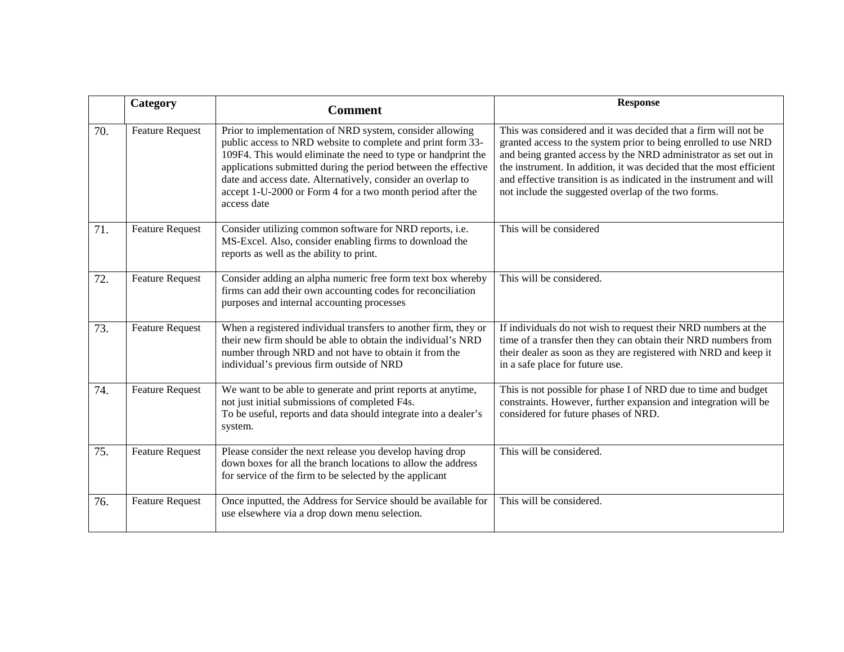|     | Category               | <b>Comment</b>                                                                                                                                                                                                                                                                                                                                                                                         | <b>Response</b>                                                                                                                                                                                                                                                                                                                                                                                           |
|-----|------------------------|--------------------------------------------------------------------------------------------------------------------------------------------------------------------------------------------------------------------------------------------------------------------------------------------------------------------------------------------------------------------------------------------------------|-----------------------------------------------------------------------------------------------------------------------------------------------------------------------------------------------------------------------------------------------------------------------------------------------------------------------------------------------------------------------------------------------------------|
| 70. | <b>Feature Request</b> | Prior to implementation of NRD system, consider allowing<br>public access to NRD website to complete and print form 33-<br>109F4. This would eliminate the need to type or handprint the<br>applications submitted during the period between the effective<br>date and access date. Alternatively, consider an overlap to<br>accept 1-U-2000 or Form 4 for a two month period after the<br>access date | This was considered and it was decided that a firm will not be<br>granted access to the system prior to being enrolled to use NRD<br>and being granted access by the NRD administrator as set out in<br>the instrument. In addition, it was decided that the most efficient<br>and effective transition is as indicated in the instrument and will<br>not include the suggested overlap of the two forms. |
| 71. | <b>Feature Request</b> | Consider utilizing common software for NRD reports, i.e.<br>MS-Excel. Also, consider enabling firms to download the<br>reports as well as the ability to print.                                                                                                                                                                                                                                        | This will be considered                                                                                                                                                                                                                                                                                                                                                                                   |
| 72. | <b>Feature Request</b> | Consider adding an alpha numeric free form text box whereby<br>firms can add their own accounting codes for reconciliation<br>purposes and internal accounting processes                                                                                                                                                                                                                               | This will be considered.                                                                                                                                                                                                                                                                                                                                                                                  |
| 73. | <b>Feature Request</b> | When a registered individual transfers to another firm, they or<br>their new firm should be able to obtain the individual's NRD<br>number through NRD and not have to obtain it from the<br>individual's previous firm outside of NRD                                                                                                                                                                  | If individuals do not wish to request their NRD numbers at the<br>time of a transfer then they can obtain their NRD numbers from<br>their dealer as soon as they are registered with NRD and keep it<br>in a safe place for future use.                                                                                                                                                                   |
| 74. | <b>Feature Request</b> | We want to be able to generate and print reports at anytime,<br>not just initial submissions of completed F4s.<br>To be useful, reports and data should integrate into a dealer's<br>system.                                                                                                                                                                                                           | This is not possible for phase I of NRD due to time and budget<br>constraints. However, further expansion and integration will be<br>considered for future phases of NRD.                                                                                                                                                                                                                                 |
| 75. | <b>Feature Request</b> | Please consider the next release you develop having drop<br>down boxes for all the branch locations to allow the address<br>for service of the firm to be selected by the applicant                                                                                                                                                                                                                    | This will be considered.                                                                                                                                                                                                                                                                                                                                                                                  |
| 76. | <b>Feature Request</b> | Once inputted, the Address for Service should be available for<br>use elsewhere via a drop down menu selection.                                                                                                                                                                                                                                                                                        | This will be considered.                                                                                                                                                                                                                                                                                                                                                                                  |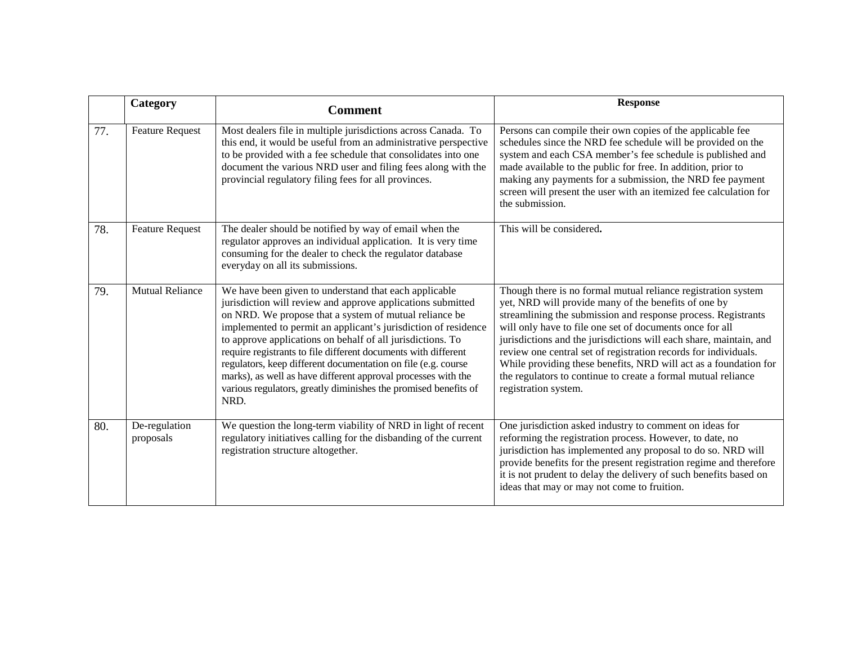|     | Category                   | <b>Comment</b>                                                                                                                                                                                                                                                                                                                                                                                                                                                                                                                                                                                | <b>Response</b>                                                                                                                                                                                                                                                                                                                                                                                                                                                                                                                                          |
|-----|----------------------------|-----------------------------------------------------------------------------------------------------------------------------------------------------------------------------------------------------------------------------------------------------------------------------------------------------------------------------------------------------------------------------------------------------------------------------------------------------------------------------------------------------------------------------------------------------------------------------------------------|----------------------------------------------------------------------------------------------------------------------------------------------------------------------------------------------------------------------------------------------------------------------------------------------------------------------------------------------------------------------------------------------------------------------------------------------------------------------------------------------------------------------------------------------------------|
| 77. | <b>Feature Request</b>     | Most dealers file in multiple jurisdictions across Canada. To<br>this end, it would be useful from an administrative perspective<br>to be provided with a fee schedule that consolidates into one<br>document the various NRD user and filing fees along with the<br>provincial regulatory filing fees for all provinces.                                                                                                                                                                                                                                                                     | Persons can compile their own copies of the applicable fee<br>schedules since the NRD fee schedule will be provided on the<br>system and each CSA member's fee schedule is published and<br>made available to the public for free. In addition, prior to<br>making any payments for a submission, the NRD fee payment<br>screen will present the user with an itemized fee calculation for<br>the submission.                                                                                                                                            |
| 78. | <b>Feature Request</b>     | The dealer should be notified by way of email when the<br>regulator approves an individual application. It is very time<br>consuming for the dealer to check the regulator database<br>everyday on all its submissions.                                                                                                                                                                                                                                                                                                                                                                       | This will be considered.                                                                                                                                                                                                                                                                                                                                                                                                                                                                                                                                 |
| 79. | <b>Mutual Reliance</b>     | We have been given to understand that each applicable<br>jurisdiction will review and approve applications submitted<br>on NRD. We propose that a system of mutual reliance be<br>implemented to permit an applicant's jurisdiction of residence<br>to approve applications on behalf of all jurisdictions. To<br>require registrants to file different documents with different<br>regulators, keep different documentation on file (e.g. course<br>marks), as well as have different approval processes with the<br>various regulators, greatly diminishes the promised benefits of<br>NRD. | Though there is no formal mutual reliance registration system<br>yet, NRD will provide many of the benefits of one by<br>streamlining the submission and response process. Registrants<br>will only have to file one set of documents once for all<br>jurisdictions and the jurisdictions will each share, maintain, and<br>review one central set of registration records for individuals.<br>While providing these benefits, NRD will act as a foundation for<br>the regulators to continue to create a formal mutual reliance<br>registration system. |
| 80. | De-regulation<br>proposals | We question the long-term viability of NRD in light of recent<br>regulatory initiatives calling for the disbanding of the current<br>registration structure altogether.                                                                                                                                                                                                                                                                                                                                                                                                                       | One jurisdiction asked industry to comment on ideas for<br>reforming the registration process. However, to date, no<br>jurisdiction has implemented any proposal to do so. NRD will<br>provide benefits for the present registration regime and therefore<br>it is not prudent to delay the delivery of such benefits based on<br>ideas that may or may not come to fruition.                                                                                                                                                                            |